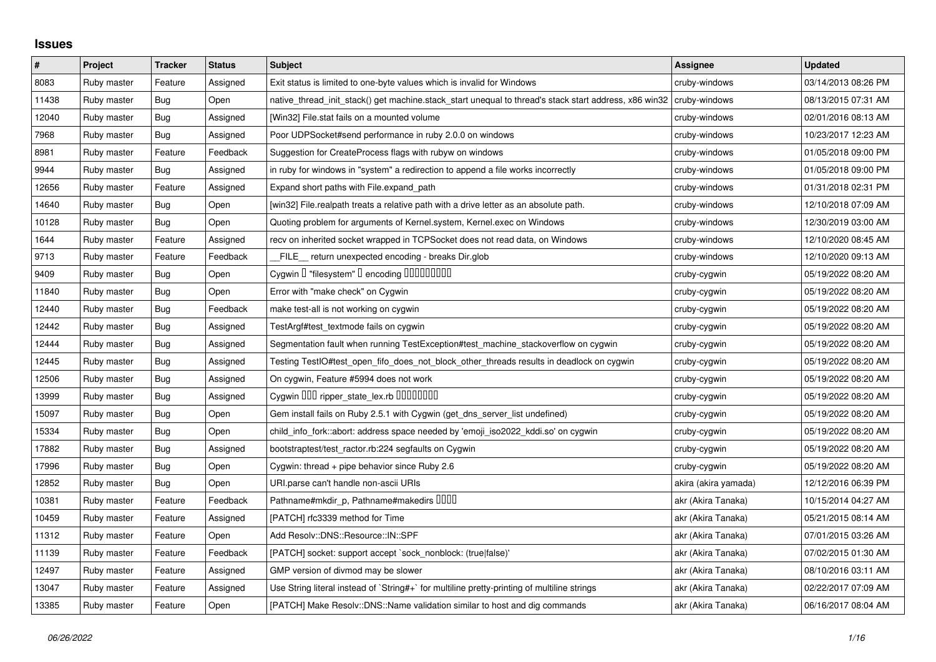## **Issues**

| $\pmb{\#}$ | Project     | <b>Tracker</b> | <b>Status</b> | <b>Subject</b>                                                                                        | <b>Assignee</b>      | <b>Updated</b>      |
|------------|-------------|----------------|---------------|-------------------------------------------------------------------------------------------------------|----------------------|---------------------|
| 8083       | Ruby master | Feature        | Assigned      | Exit status is limited to one-byte values which is invalid for Windows                                | cruby-windows        | 03/14/2013 08:26 PM |
| 11438      | Ruby master | <b>Bug</b>     | Open          | native thread init stack() get machine stack start unequal to thread's stack start address, x86 win32 | cruby-windows        | 08/13/2015 07:31 AM |
| 12040      | Ruby master | <b>Bug</b>     | Assigned      | [Win32] File.stat fails on a mounted volume                                                           | cruby-windows        | 02/01/2016 08:13 AM |
| 7968       | Ruby master | <b>Bug</b>     | Assigned      | Poor UDPSocket#send performance in ruby 2.0.0 on windows                                              | cruby-windows        | 10/23/2017 12:23 AM |
| 8981       | Ruby master | Feature        | Feedback      | Suggestion for CreateProcess flags with rubyw on windows                                              | cruby-windows        | 01/05/2018 09:00 PM |
| 9944       | Ruby master | Bug            | Assigned      | in ruby for windows in "system" a redirection to append a file works incorrectly                      | cruby-windows        | 01/05/2018 09:00 PM |
| 12656      | Ruby master | Feature        | Assigned      | Expand short paths with File.expand_path                                                              | cruby-windows        | 01/31/2018 02:31 PM |
| 14640      | Ruby master | Bug            | Open          | [win32] File.realpath treats a relative path with a drive letter as an absolute path.                 | cruby-windows        | 12/10/2018 07:09 AM |
| 10128      | Ruby master | Bug            | Open          | Quoting problem for arguments of Kernel.system, Kernel.exec on Windows                                | cruby-windows        | 12/30/2019 03:00 AM |
| 1644       | Ruby master | Feature        | Assigned      | recv on inherited socket wrapped in TCPSocket does not read data, on Windows                          | cruby-windows        | 12/10/2020 08:45 AM |
| 9713       | Ruby master | Feature        | Feedback      | FILE_ return unexpected encoding - breaks Dir.glob                                                    | cruby-windows        | 12/10/2020 09:13 AM |
| 9409       | Ruby master | <b>Bug</b>     | Open          | Cygwin I "filesystem" I encoding IIIIIIIIIIIII                                                        | cruby-cygwin         | 05/19/2022 08:20 AM |
| 11840      | Ruby master | Bug            | Open          | Error with "make check" on Cygwin                                                                     | cruby-cygwin         | 05/19/2022 08:20 AM |
| 12440      | Ruby master | <b>Bug</b>     | Feedback      | make test-all is not working on cygwin                                                                | cruby-cygwin         | 05/19/2022 08:20 AM |
| 12442      | Ruby master | Bug            | Assigned      | TestArgf#test textmode fails on cygwin                                                                | cruby-cygwin         | 05/19/2022 08:20 AM |
| 12444      | Ruby master | Bug            | Assigned      | Segmentation fault when running TestException#test machine stackoverflow on cygwin                    | cruby-cygwin         | 05/19/2022 08:20 AM |
| 12445      | Ruby master | <b>Bug</b>     | Assigned      | Testing TestIO#test_open_fifo_does_not_block_other_threads results in deadlock on cygwin              | cruby-cygwin         | 05/19/2022 08:20 AM |
| 12506      | Ruby master | <b>Bug</b>     | Assigned      | On cygwin, Feature #5994 does not work                                                                | cruby-cygwin         | 05/19/2022 08:20 AM |
| 13999      | Ruby master | <b>Bug</b>     | Assigned      | Cygwin DDD ripper_state_lex.rb DDDDDDDD                                                               | cruby-cygwin         | 05/19/2022 08:20 AM |
| 15097      | Ruby master | <b>Bug</b>     | Open          | Gem install fails on Ruby 2.5.1 with Cygwin (get_dns_server_list undefined)                           | cruby-cygwin         | 05/19/2022 08:20 AM |
| 15334      | Ruby master | <b>Bug</b>     | Open          | child_info_fork::abort: address space needed by 'emoji_iso2022_kddi.so' on cygwin                     | cruby-cygwin         | 05/19/2022 08:20 AM |
| 17882      | Ruby master | Bug            | Assigned      | bootstraptest/test_ractor.rb:224 segfaults on Cygwin                                                  | cruby-cygwin         | 05/19/2022 08:20 AM |
| 17996      | Ruby master | <b>Bug</b>     | Open          | Cygwin: thread + pipe behavior since Ruby 2.6                                                         | cruby-cygwin         | 05/19/2022 08:20 AM |
| 12852      | Ruby master | <b>Bug</b>     | Open          | URI.parse can't handle non-ascii URIs                                                                 | akira (akira yamada) | 12/12/2016 06:39 PM |
| 10381      | Ruby master | Feature        | Feedback      | Pathname#mkdir_p, Pathname#makedirs DDDD                                                              | akr (Akira Tanaka)   | 10/15/2014 04:27 AM |
| 10459      | Ruby master | Feature        | Assigned      | [PATCH] rfc3339 method for Time                                                                       | akr (Akira Tanaka)   | 05/21/2015 08:14 AM |
| 11312      | Ruby master | Feature        | Open          | Add Resolv::DNS::Resource::IN::SPF                                                                    | akr (Akira Tanaka)   | 07/01/2015 03:26 AM |
| 11139      | Ruby master | Feature        | Feedback      | [PATCH] socket: support accept `sock_nonblock: (true false)'                                          | akr (Akira Tanaka)   | 07/02/2015 01:30 AM |
| 12497      | Ruby master | Feature        | Assigned      | GMP version of divmod may be slower                                                                   | akr (Akira Tanaka)   | 08/10/2016 03:11 AM |
| 13047      | Ruby master | Feature        | Assigned      | Use String literal instead of `String#+` for multiline pretty-printing of multiline strings           | akr (Akira Tanaka)   | 02/22/2017 07:09 AM |
| 13385      | Ruby master | Feature        | Open          | [PATCH] Make Resolv::DNS::Name validation similar to host and dig commands                            | akr (Akira Tanaka)   | 06/16/2017 08:04 AM |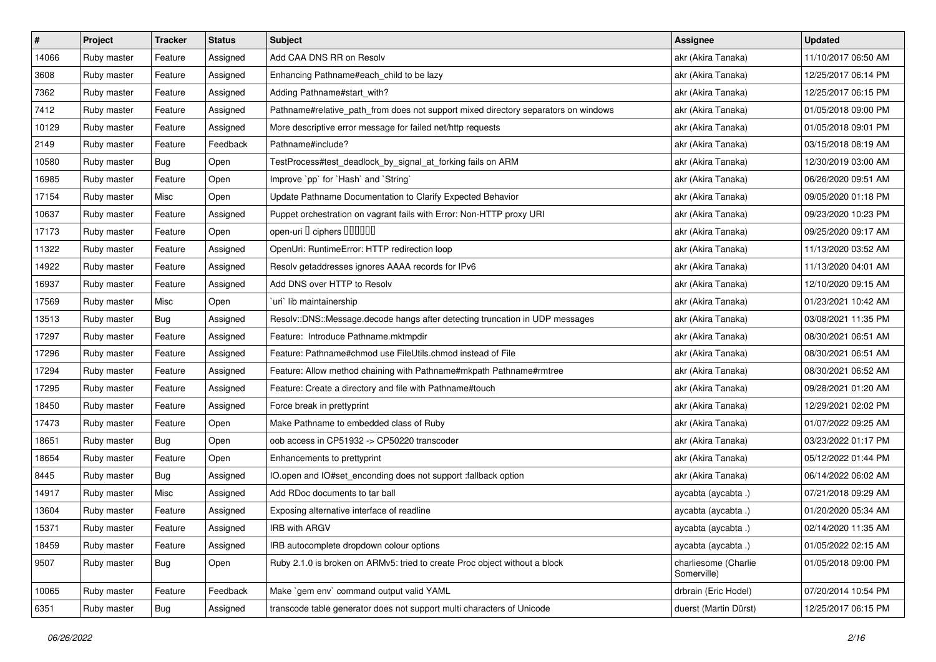| #     | Project     | <b>Tracker</b> | <b>Status</b> | <b>Subject</b>                                                                     | <b>Assignee</b>                     | <b>Updated</b>      |
|-------|-------------|----------------|---------------|------------------------------------------------------------------------------------|-------------------------------------|---------------------|
| 14066 | Ruby master | Feature        | Assigned      | Add CAA DNS RR on Resolv                                                           | akr (Akira Tanaka)                  | 11/10/2017 06:50 AM |
| 3608  | Ruby master | Feature        | Assigned      | Enhancing Pathname#each_child to be lazy                                           | akr (Akira Tanaka)                  | 12/25/2017 06:14 PM |
| 7362  | Ruby master | Feature        | Assigned      | Adding Pathname#start with?                                                        | akr (Akira Tanaka)                  | 12/25/2017 06:15 PM |
| 7412  | Ruby master | Feature        | Assigned      | Pathname#relative_path_from does not support mixed directory separators on windows | akr (Akira Tanaka)                  | 01/05/2018 09:00 PM |
| 10129 | Ruby master | Feature        | Assigned      | More descriptive error message for failed net/http requests                        | akr (Akira Tanaka)                  | 01/05/2018 09:01 PM |
| 2149  | Ruby master | Feature        | Feedback      | Pathname#include?                                                                  | akr (Akira Tanaka)                  | 03/15/2018 08:19 AM |
| 10580 | Ruby master | <b>Bug</b>     | Open          | TestProcess#test_deadlock_by_signal_at_forking fails on ARM                        | akr (Akira Tanaka)                  | 12/30/2019 03:00 AM |
| 16985 | Ruby master | Feature        | Open          | Improve `pp` for `Hash` and `String`                                               | akr (Akira Tanaka)                  | 06/26/2020 09:51 AM |
| 17154 | Ruby master | Misc           | Open          | Update Pathname Documentation to Clarify Expected Behavior                         | akr (Akira Tanaka)                  | 09/05/2020 01:18 PM |
| 10637 | Ruby master | Feature        | Assigned      | Puppet orchestration on vagrant fails with Error: Non-HTTP proxy URI               | akr (Akira Tanaka)                  | 09/23/2020 10:23 PM |
| 17173 | Ruby master | Feature        | Open          | open-uri D ciphers DODOOD                                                          | akr (Akira Tanaka)                  | 09/25/2020 09:17 AM |
| 11322 | Ruby master | Feature        | Assigned      | OpenUri: RuntimeError: HTTP redirection loop                                       | akr (Akira Tanaka)                  | 11/13/2020 03:52 AM |
| 14922 | Ruby master | Feature        | Assigned      | Resolv getaddresses ignores AAAA records for IPv6                                  | akr (Akira Tanaka)                  | 11/13/2020 04:01 AM |
| 16937 | Ruby master | Feature        | Assigned      | Add DNS over HTTP to Resolv                                                        | akr (Akira Tanaka)                  | 12/10/2020 09:15 AM |
| 17569 | Ruby master | Misc           | Open          | uri lib maintainership                                                             | akr (Akira Tanaka)                  | 01/23/2021 10:42 AM |
| 13513 | Ruby master | Bug            | Assigned      | Resolv::DNS::Message.decode hangs after detecting truncation in UDP messages       | akr (Akira Tanaka)                  | 03/08/2021 11:35 PM |
| 17297 | Ruby master | Feature        | Assigned      | Feature: Introduce Pathname.mktmpdir                                               | akr (Akira Tanaka)                  | 08/30/2021 06:51 AM |
| 17296 | Ruby master | Feature        | Assigned      | Feature: Pathname#chmod use FileUtils.chmod instead of File                        | akr (Akira Tanaka)                  | 08/30/2021 06:51 AM |
| 17294 | Ruby master | Feature        | Assigned      | Feature: Allow method chaining with Pathname#mkpath Pathname#rmtree                | akr (Akira Tanaka)                  | 08/30/2021 06:52 AM |
| 17295 | Ruby master | Feature        | Assigned      | Feature: Create a directory and file with Pathname#touch                           | akr (Akira Tanaka)                  | 09/28/2021 01:20 AM |
| 18450 | Ruby master | Feature        | Assigned      | Force break in prettyprint                                                         | akr (Akira Tanaka)                  | 12/29/2021 02:02 PM |
| 17473 | Ruby master | Feature        | Open          | Make Pathname to embedded class of Ruby                                            | akr (Akira Tanaka)                  | 01/07/2022 09:25 AM |
| 18651 | Ruby master | Bug            | Open          | oob access in CP51932 -> CP50220 transcoder                                        | akr (Akira Tanaka)                  | 03/23/2022 01:17 PM |
| 18654 | Ruby master | Feature        | Open          | Enhancements to prettyprint                                                        | akr (Akira Tanaka)                  | 05/12/2022 01:44 PM |
| 8445  | Ruby master | <b>Bug</b>     | Assigned      | IO.open and IO#set_enconding does not support :fallback option                     | akr (Akira Tanaka)                  | 06/14/2022 06:02 AM |
| 14917 | Ruby master | Misc           | Assigned      | Add RDoc documents to tar ball                                                     | aycabta (aycabta.)                  | 07/21/2018 09:29 AM |
| 13604 | Ruby master | Feature        | Assigned      | Exposing alternative interface of readline                                         | aycabta (aycabta .)                 | 01/20/2020 05:34 AM |
| 15371 | Ruby master | Feature        | Assigned      | IRB with ARGV                                                                      | aycabta (aycabta .)                 | 02/14/2020 11:35 AM |
| 18459 | Ruby master | Feature        | Assigned      | IRB autocomplete dropdown colour options                                           | aycabta (aycabta .)                 | 01/05/2022 02:15 AM |
| 9507  | Ruby master | Bug            | Open          | Ruby 2.1.0 is broken on ARMv5: tried to create Proc object without a block         | charliesome (Charlie<br>Somerville) | 01/05/2018 09:00 PM |
| 10065 | Ruby master | Feature        | Feedback      | Make `gem env` command output valid YAML                                           | drbrain (Eric Hodel)                | 07/20/2014 10:54 PM |
| 6351  | Ruby master | Bug            | Assigned      | transcode table generator does not support multi characters of Unicode             | duerst (Martin Dürst)               | 12/25/2017 06:15 PM |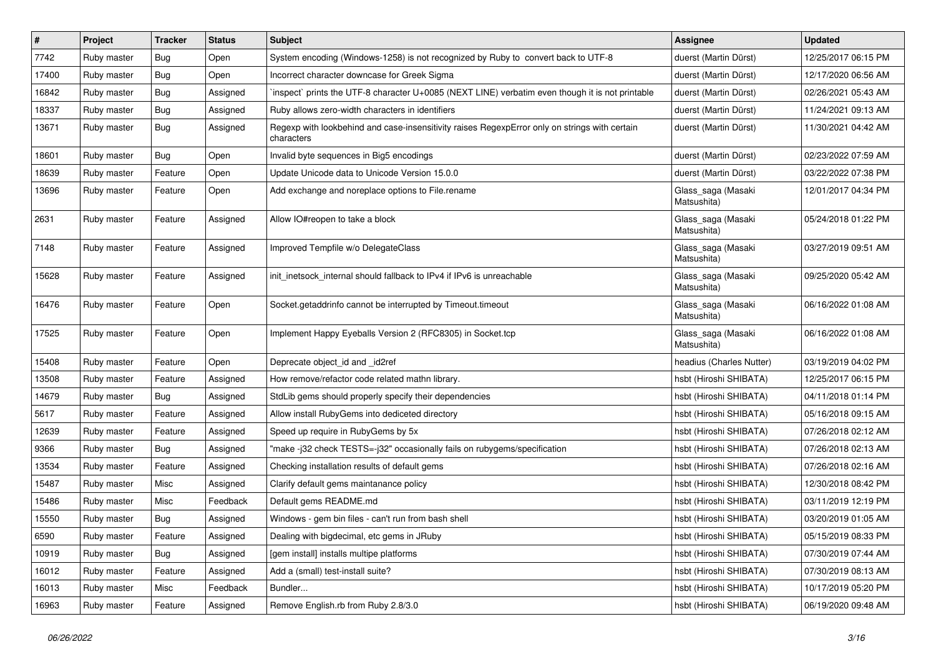| #     | Project     | <b>Tracker</b> | <b>Status</b> | <b>Subject</b>                                                                                              | <b>Assignee</b>                   | <b>Updated</b>      |
|-------|-------------|----------------|---------------|-------------------------------------------------------------------------------------------------------------|-----------------------------------|---------------------|
| 7742  | Ruby master | <b>Bug</b>     | Open          | System encoding (Windows-1258) is not recognized by Ruby to convert back to UTF-8                           | duerst (Martin Dürst)             | 12/25/2017 06:15 PM |
| 17400 | Ruby master | Bug            | Open          | Incorrect character downcase for Greek Sigma                                                                | duerst (Martin Dürst)             | 12/17/2020 06:56 AM |
| 16842 | Ruby master | Bug            | Assigned      | inspect` prints the UTF-8 character U+0085 (NEXT LINE) verbatim even though it is not printable             | duerst (Martin Dürst)             | 02/26/2021 05:43 AM |
| 18337 | Ruby master | Bug            | Assigned      | Ruby allows zero-width characters in identifiers                                                            | duerst (Martin Dürst)             | 11/24/2021 09:13 AM |
| 13671 | Ruby master | Bug            | Assigned      | Regexp with lookbehind and case-insensitivity raises RegexpError only on strings with certain<br>characters | duerst (Martin Dürst)             | 11/30/2021 04:42 AM |
| 18601 | Ruby master | Bug            | Open          | Invalid byte sequences in Big5 encodings                                                                    | duerst (Martin Dürst)             | 02/23/2022 07:59 AM |
| 18639 | Ruby master | Feature        | Open          | Update Unicode data to Unicode Version 15.0.0                                                               | duerst (Martin Dürst)             | 03/22/2022 07:38 PM |
| 13696 | Ruby master | Feature        | Open          | Add exchange and noreplace options to File.rename                                                           | Glass_saga (Masaki<br>Matsushita) | 12/01/2017 04:34 PM |
| 2631  | Ruby master | Feature        | Assigned      | Allow IO#reopen to take a block                                                                             | Glass_saga (Masaki<br>Matsushita) | 05/24/2018 01:22 PM |
| 7148  | Ruby master | Feature        | Assigned      | Improved Tempfile w/o DelegateClass                                                                         | Glass_saga (Masaki<br>Matsushita) | 03/27/2019 09:51 AM |
| 15628 | Ruby master | Feature        | Assigned      | init_inetsock_internal should fallback to IPv4 if IPv6 is unreachable                                       | Glass_saga (Masaki<br>Matsushita) | 09/25/2020 05:42 AM |
| 16476 | Ruby master | Feature        | Open          | Socket.getaddrinfo cannot be interrupted by Timeout.timeout                                                 | Glass_saga (Masaki<br>Matsushita) | 06/16/2022 01:08 AM |
| 17525 | Ruby master | Feature        | Open          | Implement Happy Eyeballs Version 2 (RFC8305) in Socket.tcp                                                  | Glass_saga (Masaki<br>Matsushita) | 06/16/2022 01:08 AM |
| 15408 | Ruby master | Feature        | Open          | Deprecate object_id and _id2ref                                                                             | headius (Charles Nutter)          | 03/19/2019 04:02 PM |
| 13508 | Ruby master | Feature        | Assigned      | How remove/refactor code related mathn library.                                                             | hsbt (Hiroshi SHIBATA)            | 12/25/2017 06:15 PM |
| 14679 | Ruby master | Bug            | Assigned      | StdLib gems should properly specify their dependencies                                                      | hsbt (Hiroshi SHIBATA)            | 04/11/2018 01:14 PM |
| 5617  | Ruby master | Feature        | Assigned      | Allow install RubyGems into dediceted directory                                                             | hsbt (Hiroshi SHIBATA)            | 05/16/2018 09:15 AM |
| 12639 | Ruby master | Feature        | Assigned      | Speed up require in RubyGems by 5x                                                                          | hsbt (Hiroshi SHIBATA)            | 07/26/2018 02:12 AM |
| 9366  | Ruby master | <b>Bug</b>     | Assigned      | "make-j32 check TESTS=-j32" occasionally fails on rubygems/specification                                    | hsbt (Hiroshi SHIBATA)            | 07/26/2018 02:13 AM |
| 13534 | Ruby master | Feature        | Assigned      | Checking installation results of default gems                                                               | hsbt (Hiroshi SHIBATA)            | 07/26/2018 02:16 AM |
| 15487 | Ruby master | Misc           | Assigned      | Clarify default gems maintanance policy                                                                     | hsbt (Hiroshi SHIBATA)            | 12/30/2018 08:42 PM |
| 15486 | Ruby master | Misc           | Feedback      | Default gems README.md                                                                                      | hsbt (Hiroshi SHIBATA)            | 03/11/2019 12:19 PM |
| 15550 | Ruby master | Bug            | Assigned      | Windows - gem bin files - can't run from bash shell                                                         | hsbt (Hiroshi SHIBATA)            | 03/20/2019 01:05 AM |
| 6590  | Ruby master | Feature        | Assigned      | Dealing with bigdecimal, etc gems in JRuby                                                                  | hsbt (Hiroshi SHIBATA)            | 05/15/2019 08:33 PM |
| 10919 | Ruby master | Bug            | Assigned      | [gem install] installs multipe platforms                                                                    | hsbt (Hiroshi SHIBATA)            | 07/30/2019 07:44 AM |
| 16012 | Ruby master | Feature        | Assigned      | Add a (small) test-install suite?                                                                           | hsbt (Hiroshi SHIBATA)            | 07/30/2019 08:13 AM |
| 16013 | Ruby master | Misc           | Feedback      | Bundler                                                                                                     | hsbt (Hiroshi SHIBATA)            | 10/17/2019 05:20 PM |
| 16963 | Ruby master | Feature        | Assigned      | Remove English.rb from Ruby 2.8/3.0                                                                         | hsbt (Hiroshi SHIBATA)            | 06/19/2020 09:48 AM |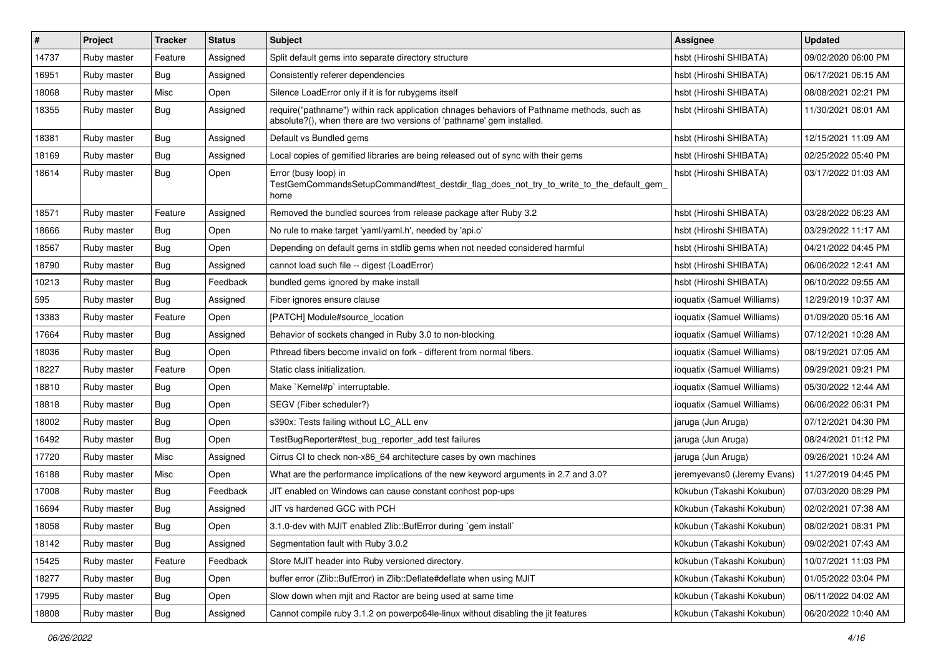| $\vert$ # | Project     | <b>Tracker</b> | <b>Status</b> | <b>Subject</b>                                                                                                                                                      | Assignee                    | <b>Updated</b>      |
|-----------|-------------|----------------|---------------|---------------------------------------------------------------------------------------------------------------------------------------------------------------------|-----------------------------|---------------------|
| 14737     | Ruby master | Feature        | Assigned      | Split default gems into separate directory structure                                                                                                                | hsbt (Hiroshi SHIBATA)      | 09/02/2020 06:00 PM |
| 16951     | Ruby master | Bug            | Assigned      | Consistently referer dependencies                                                                                                                                   | hsbt (Hiroshi SHIBATA)      | 06/17/2021 06:15 AM |
| 18068     | Ruby master | Misc           | Open          | Silence LoadError only if it is for rubygems itself                                                                                                                 | hsbt (Hiroshi SHIBATA)      | 08/08/2021 02:21 PM |
| 18355     | Ruby master | <b>Bug</b>     | Assigned      | require("pathname") within rack application chnages behaviors of Pathname methods, such as<br>absolute?(), when there are two versions of 'pathname' gem installed. | hsbt (Hiroshi SHIBATA)      | 11/30/2021 08:01 AM |
| 18381     | Ruby master | <b>Bug</b>     | Assigned      | Default vs Bundled gems                                                                                                                                             | hsbt (Hiroshi SHIBATA)      | 12/15/2021 11:09 AM |
| 18169     | Ruby master | <b>Bug</b>     | Assigned      | Local copies of gemified libraries are being released out of sync with their gems                                                                                   | hsbt (Hiroshi SHIBATA)      | 02/25/2022 05:40 PM |
| 18614     | Ruby master | Bug            | Open          | Error (busy loop) in<br>TestGemCommandsSetupCommand#test_destdir_flag_does_not_try_to_write_to_the_default_gem_<br>home                                             | hsbt (Hiroshi SHIBATA)      | 03/17/2022 01:03 AM |
| 18571     | Ruby master | Feature        | Assigned      | Removed the bundled sources from release package after Ruby 3.2                                                                                                     | hsbt (Hiroshi SHIBATA)      | 03/28/2022 06:23 AM |
| 18666     | Ruby master | <b>Bug</b>     | Open          | No rule to make target 'yaml/yaml.h', needed by 'api.o'                                                                                                             | hsbt (Hiroshi SHIBATA)      | 03/29/2022 11:17 AM |
| 18567     | Ruby master | <b>Bug</b>     | Open          | Depending on default gems in stdlib gems when not needed considered harmful                                                                                         | hsbt (Hiroshi SHIBATA)      | 04/21/2022 04:45 PM |
| 18790     | Ruby master | <b>Bug</b>     | Assigned      | cannot load such file -- digest (LoadError)                                                                                                                         | hsbt (Hiroshi SHIBATA)      | 06/06/2022 12:41 AM |
| 10213     | Ruby master | <b>Bug</b>     | Feedback      | bundled gems ignored by make install                                                                                                                                | hsbt (Hiroshi SHIBATA)      | 06/10/2022 09:55 AM |
| 595       | Ruby master | Bug            | Assigned      | Fiber ignores ensure clause                                                                                                                                         | ioquatix (Samuel Williams)  | 12/29/2019 10:37 AM |
| 13383     | Ruby master | Feature        | Open          | [PATCH] Module#source_location                                                                                                                                      | ioquatix (Samuel Williams)  | 01/09/2020 05:16 AM |
| 17664     | Ruby master | Bug            | Assigned      | Behavior of sockets changed in Ruby 3.0 to non-blocking                                                                                                             | ioquatix (Samuel Williams)  | 07/12/2021 10:28 AM |
| 18036     | Ruby master | <b>Bug</b>     | Open          | Pthread fibers become invalid on fork - different from normal fibers.                                                                                               | ioquatix (Samuel Williams)  | 08/19/2021 07:05 AM |
| 18227     | Ruby master | Feature        | Open          | Static class initialization.                                                                                                                                        | ioquatix (Samuel Williams)  | 09/29/2021 09:21 PM |
| 18810     | Ruby master | Bug            | Open          | Make `Kernel#p` interruptable.                                                                                                                                      | ioquatix (Samuel Williams)  | 05/30/2022 12:44 AM |
| 18818     | Ruby master | <b>Bug</b>     | Open          | SEGV (Fiber scheduler?)                                                                                                                                             | ioquatix (Samuel Williams)  | 06/06/2022 06:31 PM |
| 18002     | Ruby master | <b>Bug</b>     | Open          | s390x: Tests failing without LC_ALL env                                                                                                                             | jaruga (Jun Aruga)          | 07/12/2021 04:30 PM |
| 16492     | Ruby master | Bug            | Open          | TestBugReporter#test_bug_reporter_add test failures                                                                                                                 | jaruga (Jun Aruga)          | 08/24/2021 01:12 PM |
| 17720     | Ruby master | Misc           | Assigned      | Cirrus CI to check non-x86_64 architecture cases by own machines                                                                                                    | jaruga (Jun Aruga)          | 09/26/2021 10:24 AM |
| 16188     | Ruby master | Misc           | Open          | What are the performance implications of the new keyword arguments in 2.7 and 3.0?                                                                                  | jeremyevans0 (Jeremy Evans) | 11/27/2019 04:45 PM |
| 17008     | Ruby master | <b>Bug</b>     | Feedback      | JIT enabled on Windows can cause constant conhost pop-ups                                                                                                           | k0kubun (Takashi Kokubun)   | 07/03/2020 08:29 PM |
| 16694     | Ruby master | <b>Bug</b>     | Assigned      | JIT vs hardened GCC with PCH                                                                                                                                        | k0kubun (Takashi Kokubun)   | 02/02/2021 07:38 AM |
| 18058     | Ruby master | Bug            | Open          | 3.1.0-dev with MJIT enabled Zlib::BufError during `gem install`                                                                                                     | k0kubun (Takashi Kokubun)   | 08/02/2021 08:31 PM |
| 18142     | Ruby master | <b>Bug</b>     | Assigned      | Segmentation fault with Ruby 3.0.2                                                                                                                                  | k0kubun (Takashi Kokubun)   | 09/02/2021 07:43 AM |
| 15425     | Ruby master | Feature        | Feedback      | Store MJIT header into Ruby versioned directory.                                                                                                                    | k0kubun (Takashi Kokubun)   | 10/07/2021 11:03 PM |
| 18277     | Ruby master | <b>Bug</b>     | Open          | buffer error (Zlib::BufError) in Zlib::Deflate#deflate when using MJIT                                                                                              | k0kubun (Takashi Kokubun)   | 01/05/2022 03:04 PM |
| 17995     | Ruby master | Bug            | Open          | Slow down when mjit and Ractor are being used at same time                                                                                                          | k0kubun (Takashi Kokubun)   | 06/11/2022 04:02 AM |
| 18808     | Ruby master | <b>Bug</b>     | Assigned      | Cannot compile ruby 3.1.2 on powerpc64le-linux without disabling the jit features                                                                                   | k0kubun (Takashi Kokubun)   | 06/20/2022 10:40 AM |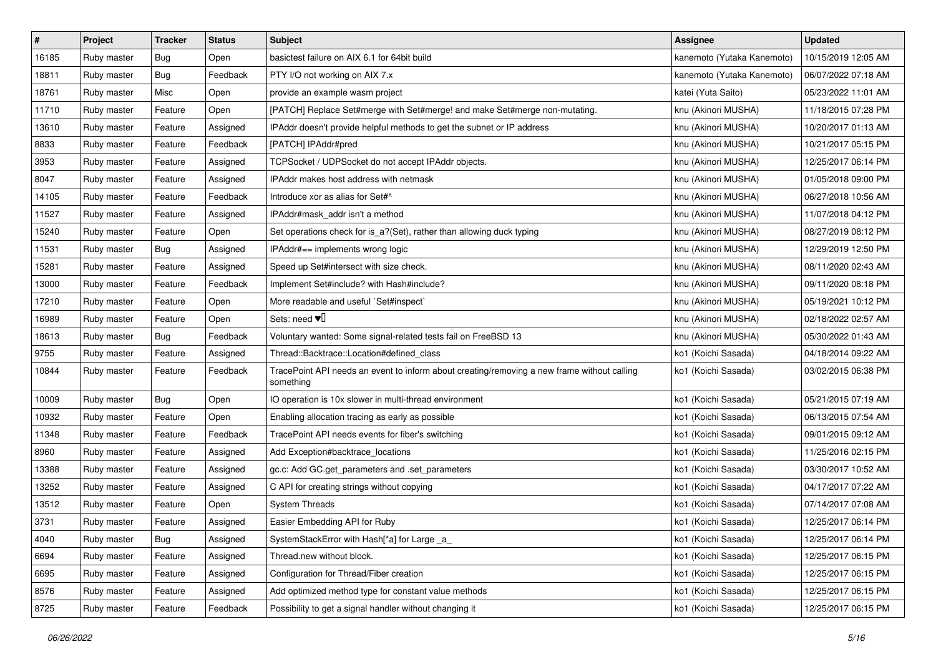| $\pmb{\#}$ | Project     | <b>Tracker</b> | <b>Status</b> | <b>Subject</b>                                                                                           | <b>Assignee</b>            | <b>Updated</b>      |
|------------|-------------|----------------|---------------|----------------------------------------------------------------------------------------------------------|----------------------------|---------------------|
| 16185      | Ruby master | <b>Bug</b>     | Open          | basictest failure on AIX 6.1 for 64bit build                                                             | kanemoto (Yutaka Kanemoto) | 10/15/2019 12:05 AM |
| 18811      | Ruby master | Bug            | Feedback      | PTY I/O not working on AIX 7.x                                                                           | kanemoto (Yutaka Kanemoto) | 06/07/2022 07:18 AM |
| 18761      | Ruby master | Misc           | Open          | provide an example wasm project                                                                          | katei (Yuta Saito)         | 05/23/2022 11:01 AM |
| 11710      | Ruby master | Feature        | Open          | [PATCH] Replace Set#merge with Set#merge! and make Set#merge non-mutating.                               | knu (Akinori MUSHA)        | 11/18/2015 07:28 PM |
| 13610      | Ruby master | Feature        | Assigned      | IPAddr doesn't provide helpful methods to get the subnet or IP address                                   | knu (Akinori MUSHA)        | 10/20/2017 01:13 AM |
| 8833       | Ruby master | Feature        | Feedback      | [PATCH] IPAddr#pred                                                                                      | knu (Akinori MUSHA)        | 10/21/2017 05:15 PM |
| 3953       | Ruby master | Feature        | Assigned      | TCPSocket / UDPSocket do not accept IPAddr objects.                                                      | knu (Akinori MUSHA)        | 12/25/2017 06:14 PM |
| 8047       | Ruby master | Feature        | Assigned      | <b>IPAddr makes host address with netmask</b>                                                            | knu (Akinori MUSHA)        | 01/05/2018 09:00 PM |
| 14105      | Ruby master | Feature        | Feedback      | Introduce xor as alias for Set#^                                                                         | knu (Akinori MUSHA)        | 06/27/2018 10:56 AM |
| 11527      | Ruby master | Feature        | Assigned      | IPAddr#mask_addr isn't a method                                                                          | knu (Akinori MUSHA)        | 11/07/2018 04:12 PM |
| 15240      | Ruby master | Feature        | Open          | Set operations check for is_a?(Set), rather than allowing duck typing                                    | knu (Akinori MUSHA)        | 08/27/2019 08:12 PM |
| 11531      | Ruby master | Bug            | Assigned      | IPAddr#== implements wrong logic                                                                         | knu (Akinori MUSHA)        | 12/29/2019 12:50 PM |
| 15281      | Ruby master | Feature        | Assigned      | Speed up Set#intersect with size check.                                                                  | knu (Akinori MUSHA)        | 08/11/2020 02:43 AM |
| 13000      | Ruby master | Feature        | Feedback      | Implement Set#include? with Hash#include?                                                                | knu (Akinori MUSHA)        | 09/11/2020 08:18 PM |
| 17210      | Ruby master | Feature        | Open          | More readable and useful `Set#inspect`                                                                   | knu (Akinori MUSHA)        | 05/19/2021 10:12 PM |
| 16989      | Ruby master | Feature        | Open          | Sets: need $\Psi$                                                                                        | knu (Akinori MUSHA)        | 02/18/2022 02:57 AM |
| 18613      | Ruby master | <b>Bug</b>     | Feedback      | Voluntary wanted: Some signal-related tests fail on FreeBSD 13                                           | knu (Akinori MUSHA)        | 05/30/2022 01:43 AM |
| 9755       | Ruby master | Feature        | Assigned      | Thread::Backtrace::Location#defined_class                                                                | ko1 (Koichi Sasada)        | 04/18/2014 09:22 AM |
| 10844      | Ruby master | Feature        | Feedback      | TracePoint API needs an event to inform about creating/removing a new frame without calling<br>something | ko1 (Koichi Sasada)        | 03/02/2015 06:38 PM |
| 10009      | Ruby master | Bug            | Open          | IO operation is 10x slower in multi-thread environment                                                   | ko1 (Koichi Sasada)        | 05/21/2015 07:19 AM |
| 10932      | Ruby master | Feature        | Open          | Enabling allocation tracing as early as possible                                                         | ko1 (Koichi Sasada)        | 06/13/2015 07:54 AM |
| 11348      | Ruby master | Feature        | Feedback      | TracePoint API needs events for fiber's switching                                                        | ko1 (Koichi Sasada)        | 09/01/2015 09:12 AM |
| 8960       | Ruby master | Feature        | Assigned      | Add Exception#backtrace_locations                                                                        | ko1 (Koichi Sasada)        | 11/25/2016 02:15 PM |
| 13388      | Ruby master | Feature        | Assigned      | gc.c: Add GC.get_parameters and .set_parameters                                                          | ko1 (Koichi Sasada)        | 03/30/2017 10:52 AM |
| 13252      | Ruby master | Feature        | Assigned      | C API for creating strings without copying                                                               | ko1 (Koichi Sasada)        | 04/17/2017 07:22 AM |
| 13512      | Ruby master | Feature        | Open          | <b>System Threads</b>                                                                                    | ko1 (Koichi Sasada)        | 07/14/2017 07:08 AM |
| 3731       | Ruby master | Feature        | Assigned      | Easier Embedding API for Ruby                                                                            | ko1 (Koichi Sasada)        | 12/25/2017 06:14 PM |
| 4040       | Ruby master | Bug            | Assigned      | SystemStackError with Hash[*a] for Large _a_                                                             | ko1 (Koichi Sasada)        | 12/25/2017 06:14 PM |
| 6694       | Ruby master | Feature        | Assigned      | Thread.new without block.                                                                                | ko1 (Koichi Sasada)        | 12/25/2017 06:15 PM |
| 6695       | Ruby master | Feature        | Assigned      | Configuration for Thread/Fiber creation                                                                  | ko1 (Koichi Sasada)        | 12/25/2017 06:15 PM |
| 8576       | Ruby master | Feature        | Assigned      | Add optimized method type for constant value methods                                                     | ko1 (Koichi Sasada)        | 12/25/2017 06:15 PM |
| 8725       | Ruby master | Feature        | Feedback      | Possibility to get a signal handler without changing it                                                  | ko1 (Koichi Sasada)        | 12/25/2017 06:15 PM |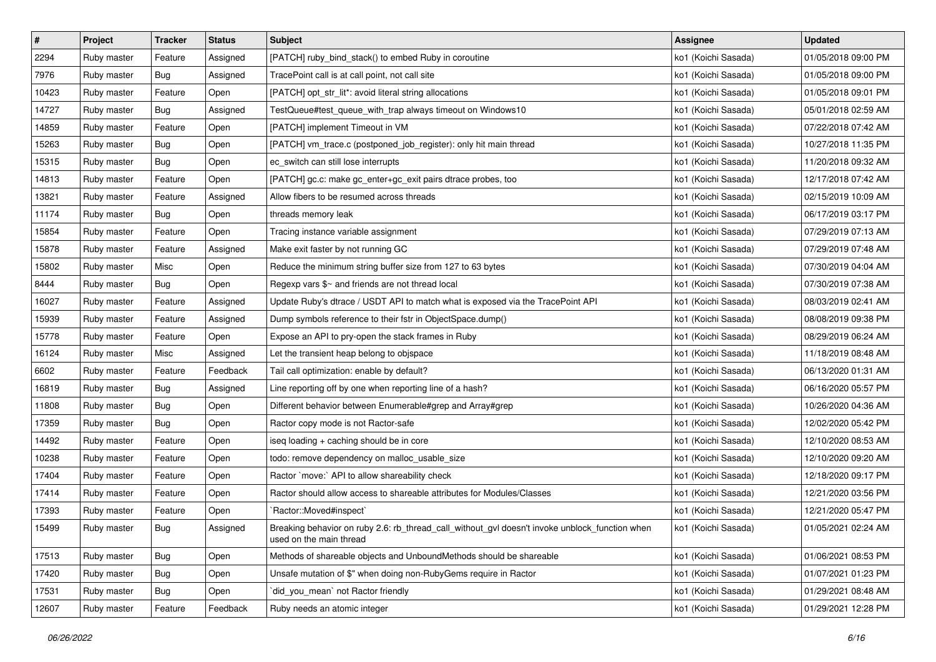| $\vert$ # | Project     | <b>Tracker</b> | <b>Status</b> | <b>Subject</b>                                                                                                            | <b>Assignee</b>     | <b>Updated</b>      |
|-----------|-------------|----------------|---------------|---------------------------------------------------------------------------------------------------------------------------|---------------------|---------------------|
| 2294      | Ruby master | Feature        | Assigned      | [PATCH] ruby_bind_stack() to embed Ruby in coroutine                                                                      | ko1 (Koichi Sasada) | 01/05/2018 09:00 PM |
| 7976      | Ruby master | Bug            | Assigned      | TracePoint call is at call point, not call site                                                                           | ko1 (Koichi Sasada) | 01/05/2018 09:00 PM |
| 10423     | Ruby master | Feature        | Open          | [PATCH] opt_str_lit*: avoid literal string allocations                                                                    | ko1 (Koichi Sasada) | 01/05/2018 09:01 PM |
| 14727     | Ruby master | <b>Bug</b>     | Assigned      | TestQueue#test_queue_with_trap always timeout on Windows10                                                                | ko1 (Koichi Sasada) | 05/01/2018 02:59 AM |
| 14859     | Ruby master | Feature        | Open          | [PATCH] implement Timeout in VM                                                                                           | ko1 (Koichi Sasada) | 07/22/2018 07:42 AM |
| 15263     | Ruby master | <b>Bug</b>     | Open          | [PATCH] vm_trace.c (postponed_job_register): only hit main thread                                                         | ko1 (Koichi Sasada) | 10/27/2018 11:35 PM |
| 15315     | Ruby master | <b>Bug</b>     | Open          | ec_switch can still lose interrupts                                                                                       | ko1 (Koichi Sasada) | 11/20/2018 09:32 AM |
| 14813     | Ruby master | Feature        | Open          | [PATCH] gc.c: make gc_enter+gc_exit pairs dtrace probes, too                                                              | ko1 (Koichi Sasada) | 12/17/2018 07:42 AM |
| 13821     | Ruby master | Feature        | Assigned      | Allow fibers to be resumed across threads                                                                                 | ko1 (Koichi Sasada) | 02/15/2019 10:09 AM |
| 11174     | Ruby master | <b>Bug</b>     | Open          | threads memory leak                                                                                                       | ko1 (Koichi Sasada) | 06/17/2019 03:17 PM |
| 15854     | Ruby master | Feature        | Open          | Tracing instance variable assignment                                                                                      | ko1 (Koichi Sasada) | 07/29/2019 07:13 AM |
| 15878     | Ruby master | Feature        | Assigned      | Make exit faster by not running GC                                                                                        | ko1 (Koichi Sasada) | 07/29/2019 07:48 AM |
| 15802     | Ruby master | Misc           | Open          | Reduce the minimum string buffer size from 127 to 63 bytes                                                                | ko1 (Koichi Sasada) | 07/30/2019 04:04 AM |
| 8444      | Ruby master | <b>Bug</b>     | Open          | Regexp vars \$~ and friends are not thread local                                                                          | ko1 (Koichi Sasada) | 07/30/2019 07:38 AM |
| 16027     | Ruby master | Feature        | Assigned      | Update Ruby's dtrace / USDT API to match what is exposed via the TracePoint API                                           | ko1 (Koichi Sasada) | 08/03/2019 02:41 AM |
| 15939     | Ruby master | Feature        | Assigned      | Dump symbols reference to their fstr in ObjectSpace.dump()                                                                | ko1 (Koichi Sasada) | 08/08/2019 09:38 PM |
| 15778     | Ruby master | Feature        | Open          | Expose an API to pry-open the stack frames in Ruby                                                                        | ko1 (Koichi Sasada) | 08/29/2019 06:24 AM |
| 16124     | Ruby master | Misc           | Assigned      | Let the transient heap belong to objspace                                                                                 | ko1 (Koichi Sasada) | 11/18/2019 08:48 AM |
| 6602      | Ruby master | Feature        | Feedback      | Tail call optimization: enable by default?                                                                                | ko1 (Koichi Sasada) | 06/13/2020 01:31 AM |
| 16819     | Ruby master | <b>Bug</b>     | Assigned      | Line reporting off by one when reporting line of a hash?                                                                  | ko1 (Koichi Sasada) | 06/16/2020 05:57 PM |
| 11808     | Ruby master | <b>Bug</b>     | Open          | Different behavior between Enumerable#grep and Array#grep                                                                 | ko1 (Koichi Sasada) | 10/26/2020 04:36 AM |
| 17359     | Ruby master | <b>Bug</b>     | Open          | Ractor copy mode is not Ractor-safe                                                                                       | ko1 (Koichi Sasada) | 12/02/2020 05:42 PM |
| 14492     | Ruby master | Feature        | Open          | iseq loading + caching should be in core                                                                                  | ko1 (Koichi Sasada) | 12/10/2020 08:53 AM |
| 10238     | Ruby master | Feature        | Open          | todo: remove dependency on malloc_usable_size                                                                             | ko1 (Koichi Sasada) | 12/10/2020 09:20 AM |
| 17404     | Ruby master | Feature        | Open          | Ractor `move:` API to allow shareability check                                                                            | ko1 (Koichi Sasada) | 12/18/2020 09:17 PM |
| 17414     | Ruby master | Feature        | Open          | Ractor should allow access to shareable attributes for Modules/Classes                                                    | ko1 (Koichi Sasada) | 12/21/2020 03:56 PM |
| 17393     | Ruby master | Feature        | Open          | `Ractor::Moved#inspect`                                                                                                   | ko1 (Koichi Sasada) | 12/21/2020 05:47 PM |
| 15499     | Ruby master | <b>Bug</b>     | Assigned      | Breaking behavior on ruby 2.6: rb_thread_call_without_gvl doesn't invoke unblock_function when<br>used on the main thread | ko1 (Koichi Sasada) | 01/05/2021 02:24 AM |
| 17513     | Ruby master | <b>Bug</b>     | Open          | Methods of shareable objects and UnboundMethods should be shareable                                                       | ko1 (Koichi Sasada) | 01/06/2021 08:53 PM |
| 17420     | Ruby master | Bug            | Open          | Unsafe mutation of \$" when doing non-RubyGems require in Ractor                                                          | ko1 (Koichi Sasada) | 01/07/2021 01:23 PM |
| 17531     | Ruby master | <b>Bug</b>     | Open          | did you mean' not Ractor friendly                                                                                         | ko1 (Koichi Sasada) | 01/29/2021 08:48 AM |
| 12607     | Ruby master | Feature        | Feedback      | Ruby needs an atomic integer                                                                                              | ko1 (Koichi Sasada) | 01/29/2021 12:28 PM |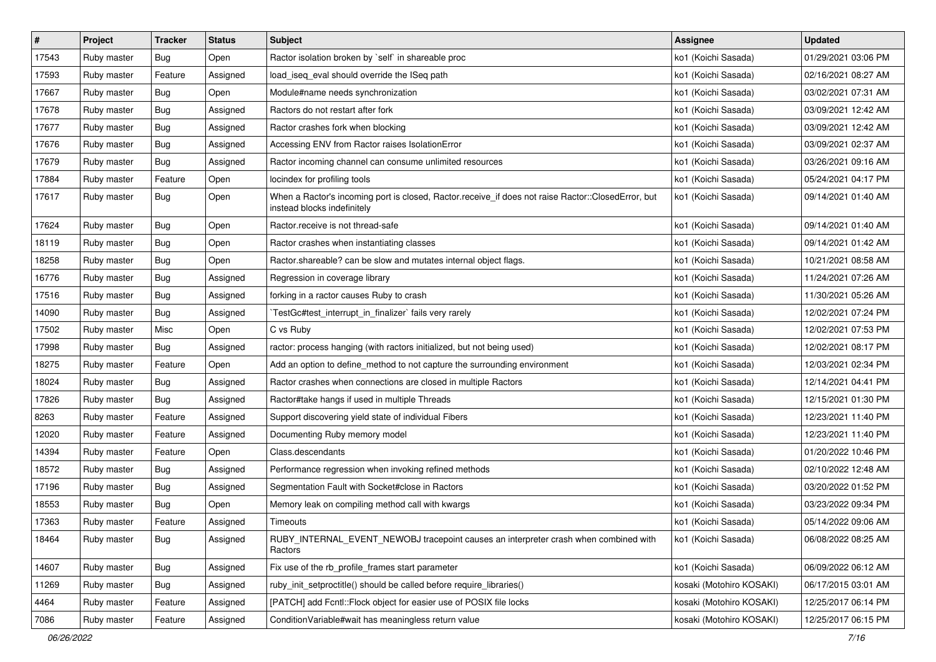| $\pmb{\#}$ | Project     | <b>Tracker</b> | <b>Status</b> | Subject                                                                                                                           | <b>Assignee</b>          | <b>Updated</b>      |
|------------|-------------|----------------|---------------|-----------------------------------------------------------------------------------------------------------------------------------|--------------------------|---------------------|
| 17543      | Ruby master | <b>Bug</b>     | Open          | Ractor isolation broken by `self` in shareable proc                                                                               | ko1 (Koichi Sasada)      | 01/29/2021 03:06 PM |
| 17593      | Ruby master | Feature        | Assigned      | load_iseq_eval should override the ISeq path                                                                                      | ko1 (Koichi Sasada)      | 02/16/2021 08:27 AM |
| 17667      | Ruby master | <b>Bug</b>     | Open          | Module#name needs synchronization                                                                                                 | ko1 (Koichi Sasada)      | 03/02/2021 07:31 AM |
| 17678      | Ruby master | <b>Bug</b>     | Assigned      | Ractors do not restart after fork                                                                                                 | ko1 (Koichi Sasada)      | 03/09/2021 12:42 AM |
| 17677      | Ruby master | Bug            | Assigned      | Ractor crashes fork when blocking                                                                                                 | ko1 (Koichi Sasada)      | 03/09/2021 12:42 AM |
| 17676      | Ruby master | <b>Bug</b>     | Assigned      | Accessing ENV from Ractor raises IsolationError                                                                                   | ko1 (Koichi Sasada)      | 03/09/2021 02:37 AM |
| 17679      | Ruby master | <b>Bug</b>     | Assigned      | Ractor incoming channel can consume unlimited resources                                                                           | ko1 (Koichi Sasada)      | 03/26/2021 09:16 AM |
| 17884      | Ruby master | Feature        | Open          | locindex for profiling tools                                                                                                      | ko1 (Koichi Sasada)      | 05/24/2021 04:17 PM |
| 17617      | Ruby master | Bug            | Open          | When a Ractor's incoming port is closed, Ractor.receive_if does not raise Ractor::ClosedError, but<br>instead blocks indefinitely | ko1 (Koichi Sasada)      | 09/14/2021 01:40 AM |
| 17624      | Ruby master | <b>Bug</b>     | Open          | Ractor.receive is not thread-safe                                                                                                 | ko1 (Koichi Sasada)      | 09/14/2021 01:40 AM |
| 18119      | Ruby master | Bug            | Open          | Ractor crashes when instantiating classes                                                                                         | ko1 (Koichi Sasada)      | 09/14/2021 01:42 AM |
| 18258      | Ruby master | <b>Bug</b>     | Open          | Ractor shareable? can be slow and mutates internal object flags.                                                                  | ko1 (Koichi Sasada)      | 10/21/2021 08:58 AM |
| 16776      | Ruby master | <b>Bug</b>     | Assigned      | Regression in coverage library                                                                                                    | ko1 (Koichi Sasada)      | 11/24/2021 07:26 AM |
| 17516      | Ruby master | <b>Bug</b>     | Assigned      | forking in a ractor causes Ruby to crash                                                                                          | ko1 (Koichi Sasada)      | 11/30/2021 05:26 AM |
| 14090      | Ruby master | <b>Bug</b>     | Assigned      | TestGc#test_interrupt_in_finalizer` fails very rarely                                                                             | ko1 (Koichi Sasada)      | 12/02/2021 07:24 PM |
| 17502      | Ruby master | Misc           | Open          | C vs Ruby                                                                                                                         | ko1 (Koichi Sasada)      | 12/02/2021 07:53 PM |
| 17998      | Ruby master | Bug            | Assigned      | ractor: process hanging (with ractors initialized, but not being used)                                                            | ko1 (Koichi Sasada)      | 12/02/2021 08:17 PM |
| 18275      | Ruby master | Feature        | Open          | Add an option to define_method to not capture the surrounding environment                                                         | ko1 (Koichi Sasada)      | 12/03/2021 02:34 PM |
| 18024      | Ruby master | <b>Bug</b>     | Assigned      | Ractor crashes when connections are closed in multiple Ractors                                                                    | ko1 (Koichi Sasada)      | 12/14/2021 04:41 PM |
| 17826      | Ruby master | Bug            | Assigned      | Ractor#take hangs if used in multiple Threads                                                                                     | ko1 (Koichi Sasada)      | 12/15/2021 01:30 PM |
| 8263       | Ruby master | Feature        | Assigned      | Support discovering yield state of individual Fibers                                                                              | ko1 (Koichi Sasada)      | 12/23/2021 11:40 PM |
| 12020      | Ruby master | Feature        | Assigned      | Documenting Ruby memory model                                                                                                     | ko1 (Koichi Sasada)      | 12/23/2021 11:40 PM |
| 14394      | Ruby master | Feature        | Open          | Class.descendants                                                                                                                 | ko1 (Koichi Sasada)      | 01/20/2022 10:46 PM |
| 18572      | Ruby master | Bug            | Assigned      | Performance regression when invoking refined methods                                                                              | ko1 (Koichi Sasada)      | 02/10/2022 12:48 AM |
| 17196      | Ruby master | Bug            | Assigned      | Segmentation Fault with Socket#close in Ractors                                                                                   | ko1 (Koichi Sasada)      | 03/20/2022 01:52 PM |
| 18553      | Ruby master | <b>Bug</b>     | Open          | Memory leak on compiling method call with kwargs                                                                                  | ko1 (Koichi Sasada)      | 03/23/2022 09:34 PM |
| 17363      | Ruby master | Feature        | Assigned      | Timeouts                                                                                                                          | ko1 (Koichi Sasada)      | 05/14/2022 09:06 AM |
| 18464      | Ruby master | <b>Bug</b>     | Assigned      | RUBY_INTERNAL_EVENT_NEWOBJ tracepoint causes an interpreter crash when combined with<br>Ractors                                   | ko1 (Koichi Sasada)      | 06/08/2022 08:25 AM |
| 14607      | Ruby master | <b>Bug</b>     | Assigned      | Fix use of the rb_profile_frames start parameter                                                                                  | ko1 (Koichi Sasada)      | 06/09/2022 06:12 AM |
| 11269      | Ruby master | <b>Bug</b>     | Assigned      | ruby_init_setproctitle() should be called before require_libraries()                                                              | kosaki (Motohiro KOSAKI) | 06/17/2015 03:01 AM |
| 4464       | Ruby master | Feature        | Assigned      | [PATCH] add Fcntl::Flock object for easier use of POSIX file locks                                                                | kosaki (Motohiro KOSAKI) | 12/25/2017 06:14 PM |
| 7086       | Ruby master | Feature        | Assigned      | ConditionVariable#wait has meaningless return value                                                                               | kosaki (Motohiro KOSAKI) | 12/25/2017 06:15 PM |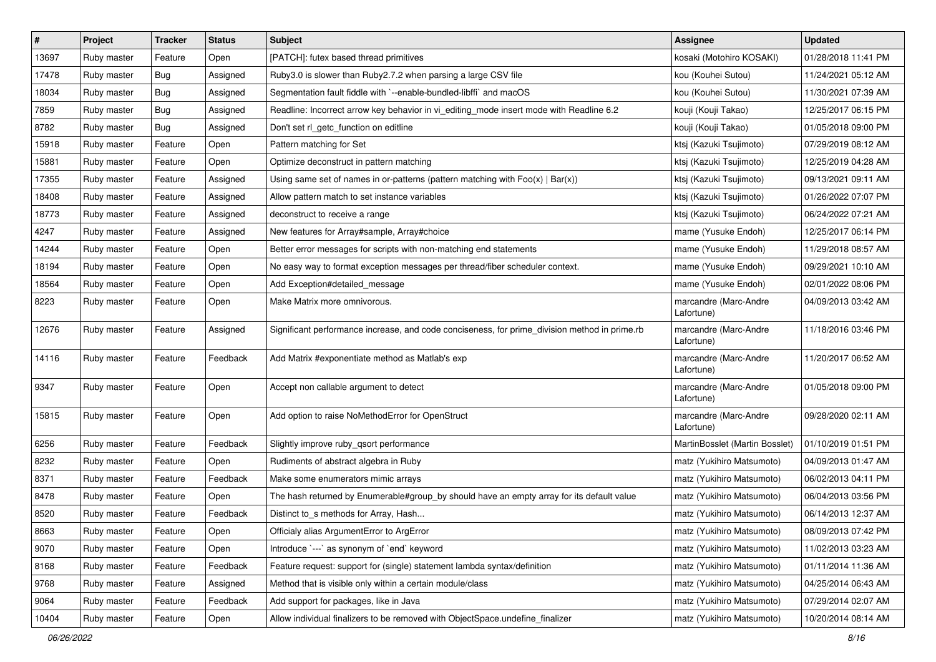| #     | Project     | <b>Tracker</b> | <b>Status</b> | Subject                                                                                       | <b>Assignee</b>                     | <b>Updated</b>      |
|-------|-------------|----------------|---------------|-----------------------------------------------------------------------------------------------|-------------------------------------|---------------------|
| 13697 | Ruby master | Feature        | Open          | [PATCH]: futex based thread primitives                                                        | kosaki (Motohiro KOSAKI)            | 01/28/2018 11:41 PM |
| 17478 | Ruby master | Bug            | Assigned      | Ruby3.0 is slower than Ruby2.7.2 when parsing a large CSV file                                | kou (Kouhei Sutou)                  | 11/24/2021 05:12 AM |
| 18034 | Ruby master | Bug            | Assigned      | Segmentation fault fiddle with `--enable-bundled-libffi` and macOS                            | kou (Kouhei Sutou)                  | 11/30/2021 07:39 AM |
| 7859  | Ruby master | Bug            | Assigned      | Readline: Incorrect arrow key behavior in vi_editing_mode insert mode with Readline 6.2       | kouji (Kouji Takao)                 | 12/25/2017 06:15 PM |
| 8782  | Ruby master | <b>Bug</b>     | Assigned      | Don't set rl_getc_function on editline                                                        | kouji (Kouji Takao)                 | 01/05/2018 09:00 PM |
| 15918 | Ruby master | Feature        | Open          | Pattern matching for Set                                                                      | ktsj (Kazuki Tsujimoto)             | 07/29/2019 08:12 AM |
| 15881 | Ruby master | Feature        | Open          | Optimize deconstruct in pattern matching                                                      | ktsj (Kazuki Tsujimoto)             | 12/25/2019 04:28 AM |
| 17355 | Ruby master | Feature        | Assigned      | Using same set of names in or-patterns (pattern matching with $Foo(x)   Bar(x)$ )             | ktsj (Kazuki Tsujimoto)             | 09/13/2021 09:11 AM |
| 18408 | Ruby master | Feature        | Assigned      | Allow pattern match to set instance variables                                                 | ktsj (Kazuki Tsujimoto)             | 01/26/2022 07:07 PM |
| 18773 | Ruby master | Feature        | Assigned      | deconstruct to receive a range                                                                | ktsj (Kazuki Tsujimoto)             | 06/24/2022 07:21 AM |
| 4247  | Ruby master | Feature        | Assigned      | New features for Array#sample, Array#choice                                                   | mame (Yusuke Endoh)                 | 12/25/2017 06:14 PM |
| 14244 | Ruby master | Feature        | Open          | Better error messages for scripts with non-matching end statements                            | mame (Yusuke Endoh)                 | 11/29/2018 08:57 AM |
| 18194 | Ruby master | Feature        | Open          | No easy way to format exception messages per thread/fiber scheduler context.                  | mame (Yusuke Endoh)                 | 09/29/2021 10:10 AM |
| 18564 | Ruby master | Feature        | Open          | Add Exception#detailed_message                                                                | mame (Yusuke Endoh)                 | 02/01/2022 08:06 PM |
| 8223  | Ruby master | Feature        | Open          | Make Matrix more omnivorous.                                                                  | marcandre (Marc-Andre<br>Lafortune) | 04/09/2013 03:42 AM |
| 12676 | Ruby master | Feature        | Assigned      | Significant performance increase, and code conciseness, for prime_division method in prime.rb | marcandre (Marc-Andre<br>Lafortune) | 11/18/2016 03:46 PM |
| 14116 | Ruby master | Feature        | Feedback      | Add Matrix #exponentiate method as Matlab's exp                                               | marcandre (Marc-Andre<br>Lafortune) | 11/20/2017 06:52 AM |
| 9347  | Ruby master | Feature        | Open          | Accept non callable argument to detect                                                        | marcandre (Marc-Andre<br>Lafortune) | 01/05/2018 09:00 PM |
| 15815 | Ruby master | Feature        | Open          | Add option to raise NoMethodError for OpenStruct                                              | marcandre (Marc-Andre<br>Lafortune) | 09/28/2020 02:11 AM |
| 6256  | Ruby master | Feature        | Feedback      | Slightly improve ruby_qsort performance                                                       | MartinBosslet (Martin Bosslet)      | 01/10/2019 01:51 PM |
| 8232  | Ruby master | Feature        | Open          | Rudiments of abstract algebra in Ruby                                                         | matz (Yukihiro Matsumoto)           | 04/09/2013 01:47 AM |
| 8371  | Ruby master | Feature        | Feedback      | Make some enumerators mimic arrays                                                            | matz (Yukihiro Matsumoto)           | 06/02/2013 04:11 PM |
| 8478  | Ruby master | Feature        | Open          | The hash returned by Enumerable#group_by should have an empty array for its default value     | matz (Yukihiro Matsumoto)           | 06/04/2013 03:56 PM |
| 8520  | Ruby master | Feature        | Feedback      | Distinct to_s methods for Array, Hash                                                         | matz (Yukihiro Matsumoto)           | 06/14/2013 12:37 AM |
| 8663  | Ruby master | Feature        | Open          | Officialy alias ArgumentError to ArgError                                                     | matz (Yukihiro Matsumoto)           | 08/09/2013 07:42 PM |
| 9070  | Ruby master | Feature        | Open          | Introduce `---` as synonym of `end` keyword                                                   | matz (Yukihiro Matsumoto)           | 11/02/2013 03:23 AM |
| 8168  | Ruby master | Feature        | Feedback      | Feature request: support for (single) statement lambda syntax/definition                      | matz (Yukihiro Matsumoto)           | 01/11/2014 11:36 AM |
| 9768  | Ruby master | Feature        | Assigned      | Method that is visible only within a certain module/class                                     | matz (Yukihiro Matsumoto)           | 04/25/2014 06:43 AM |
| 9064  | Ruby master | Feature        | Feedback      | Add support for packages, like in Java                                                        | matz (Yukihiro Matsumoto)           | 07/29/2014 02:07 AM |
| 10404 | Ruby master | Feature        | Open          | Allow individual finalizers to be removed with ObjectSpace.undefine_finalizer                 | matz (Yukihiro Matsumoto)           | 10/20/2014 08:14 AM |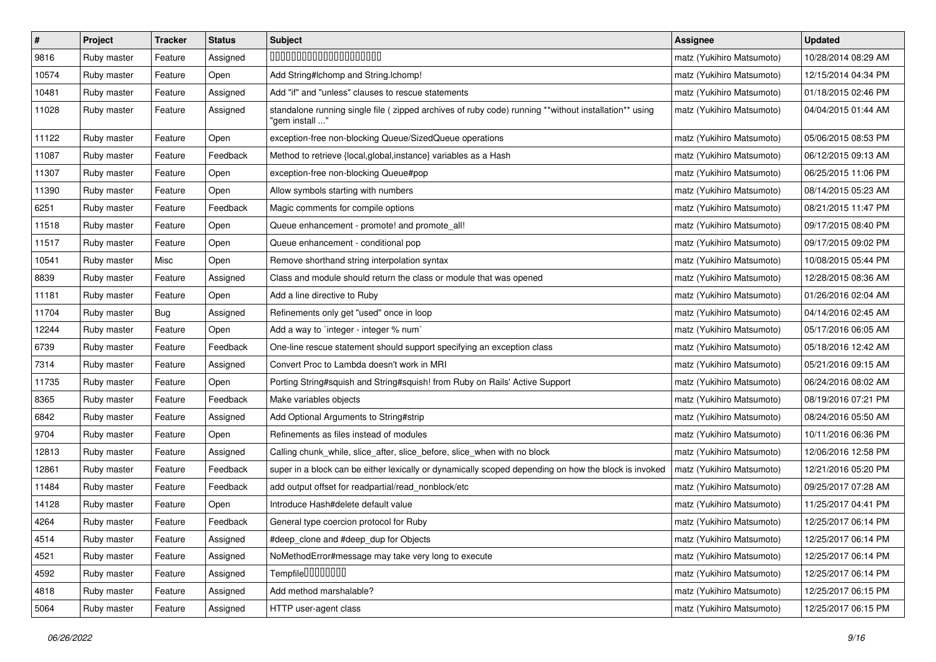| $\vert$ # | Project     | <b>Tracker</b> | <b>Status</b> | Subject                                                                                                                 | <b>Assignee</b>           | <b>Updated</b>      |
|-----------|-------------|----------------|---------------|-------------------------------------------------------------------------------------------------------------------------|---------------------------|---------------------|
| 9816      | Ruby master | Feature        | Assigned      | 00000000000000000000                                                                                                    | matz (Yukihiro Matsumoto) | 10/28/2014 08:29 AM |
| 10574     | Ruby master | Feature        | Open          | Add String#Ichomp and String.Ichomp!                                                                                    | matz (Yukihiro Matsumoto) | 12/15/2014 04:34 PM |
| 10481     | Ruby master | Feature        | Assigned      | Add "if" and "unless" clauses to rescue statements                                                                      | matz (Yukihiro Matsumoto) | 01/18/2015 02:46 PM |
| 11028     | Ruby master | Feature        | Assigned      | standalone running single file ( zipped archives of ruby code) running **without installation** using<br>"gem install " | matz (Yukihiro Matsumoto) | 04/04/2015 01:44 AM |
| 11122     | Ruby master | Feature        | Open          | exception-free non-blocking Queue/SizedQueue operations                                                                 | matz (Yukihiro Matsumoto) | 05/06/2015 08:53 PM |
| 11087     | Ruby master | Feature        | Feedback      | Method to retrieve {local, global, instance} variables as a Hash                                                        | matz (Yukihiro Matsumoto) | 06/12/2015 09:13 AM |
| 11307     | Ruby master | Feature        | Open          | exception-free non-blocking Queue#pop                                                                                   | matz (Yukihiro Matsumoto) | 06/25/2015 11:06 PM |
| 11390     | Ruby master | Feature        | Open          | Allow symbols starting with numbers                                                                                     | matz (Yukihiro Matsumoto) | 08/14/2015 05:23 AM |
| 6251      | Ruby master | Feature        | Feedback      | Magic comments for compile options                                                                                      | matz (Yukihiro Matsumoto) | 08/21/2015 11:47 PM |
| 11518     | Ruby master | Feature        | Open          | Queue enhancement - promote! and promote_all!                                                                           | matz (Yukihiro Matsumoto) | 09/17/2015 08:40 PM |
| 11517     | Ruby master | Feature        | Open          | Queue enhancement - conditional pop                                                                                     | matz (Yukihiro Matsumoto) | 09/17/2015 09:02 PM |
| 10541     | Ruby master | Misc           | Open          | Remove shorthand string interpolation syntax                                                                            | matz (Yukihiro Matsumoto) | 10/08/2015 05:44 PM |
| 8839      | Ruby master | Feature        | Assigned      | Class and module should return the class or module that was opened                                                      | matz (Yukihiro Matsumoto) | 12/28/2015 08:36 AM |
| 11181     | Ruby master | Feature        | Open          | Add a line directive to Ruby                                                                                            | matz (Yukihiro Matsumoto) | 01/26/2016 02:04 AM |
| 11704     | Ruby master | Bug            | Assigned      | Refinements only get "used" once in loop                                                                                | matz (Yukihiro Matsumoto) | 04/14/2016 02:45 AM |
| 12244     | Ruby master | Feature        | Open          | Add a way to `integer - integer % num`                                                                                  | matz (Yukihiro Matsumoto) | 05/17/2016 06:05 AM |
| 6739      | Ruby master | Feature        | Feedback      | One-line rescue statement should support specifying an exception class                                                  | matz (Yukihiro Matsumoto) | 05/18/2016 12:42 AM |
| 7314      | Ruby master | Feature        | Assigned      | Convert Proc to Lambda doesn't work in MRI                                                                              | matz (Yukihiro Matsumoto) | 05/21/2016 09:15 AM |
| 11735     | Ruby master | Feature        | Open          | Porting String#squish and String#squish! from Ruby on Rails' Active Support                                             | matz (Yukihiro Matsumoto) | 06/24/2016 08:02 AM |
| 8365      | Ruby master | Feature        | Feedback      | Make variables objects                                                                                                  | matz (Yukihiro Matsumoto) | 08/19/2016 07:21 PM |
| 6842      | Ruby master | Feature        | Assigned      | Add Optional Arguments to String#strip                                                                                  | matz (Yukihiro Matsumoto) | 08/24/2016 05:50 AM |
| 9704      | Ruby master | Feature        | Open          | Refinements as files instead of modules                                                                                 | matz (Yukihiro Matsumoto) | 10/11/2016 06:36 PM |
| 12813     | Ruby master | Feature        | Assigned      | Calling chunk_while, slice_after, slice_before, slice_when with no block                                                | matz (Yukihiro Matsumoto) | 12/06/2016 12:58 PM |
| 12861     | Ruby master | Feature        | Feedback      | super in a block can be either lexically or dynamically scoped depending on how the block is invoked                    | matz (Yukihiro Matsumoto) | 12/21/2016 05:20 PM |
| 11484     | Ruby master | Feature        | Feedback      | add output offset for readpartial/read_nonblock/etc                                                                     | matz (Yukihiro Matsumoto) | 09/25/2017 07:28 AM |
| 14128     | Ruby master | Feature        | Open          | Introduce Hash#delete default value                                                                                     | matz (Yukihiro Matsumoto) | 11/25/2017 04:41 PM |
| 4264      | Ruby master | Feature        | Feedback      | General type coercion protocol for Ruby                                                                                 | matz (Yukihiro Matsumoto) | 12/25/2017 06:14 PM |
| 4514      | Ruby master | Feature        | Assigned      | #deep clone and #deep dup for Objects                                                                                   | matz (Yukihiro Matsumoto) | 12/25/2017 06:14 PM |
| 4521      | Ruby master | Feature        | Assigned      | NoMethodError#message may take very long to execute                                                                     | matz (Yukihiro Matsumoto) | 12/25/2017 06:14 PM |
| 4592      | Ruby master | Feature        | Assigned      | Tempfile00000000                                                                                                        | matz (Yukihiro Matsumoto) | 12/25/2017 06:14 PM |
| 4818      | Ruby master | Feature        | Assigned      | Add method marshalable?                                                                                                 | matz (Yukihiro Matsumoto) | 12/25/2017 06:15 PM |
| 5064      | Ruby master | Feature        | Assigned      | HTTP user-agent class                                                                                                   | matz (Yukihiro Matsumoto) | 12/25/2017 06:15 PM |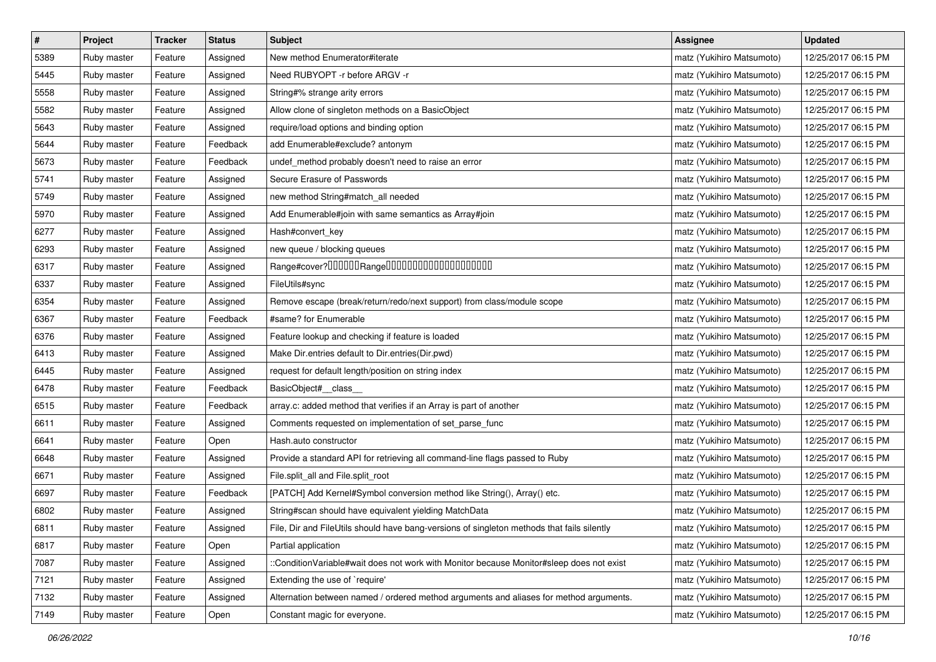| $\sharp$ | Project     | <b>Tracker</b> | <b>Status</b> | <b>Subject</b>                                                                             | Assignee                  | <b>Updated</b>      |
|----------|-------------|----------------|---------------|--------------------------------------------------------------------------------------------|---------------------------|---------------------|
| 5389     | Ruby master | Feature        | Assigned      | New method Enumerator#iterate                                                              | matz (Yukihiro Matsumoto) | 12/25/2017 06:15 PM |
| 5445     | Ruby master | Feature        | Assigned      | Need RUBYOPT -r before ARGV -r                                                             | matz (Yukihiro Matsumoto) | 12/25/2017 06:15 PM |
| 5558     | Ruby master | Feature        | Assigned      | String#% strange arity errors                                                              | matz (Yukihiro Matsumoto) | 12/25/2017 06:15 PM |
| 5582     | Ruby master | Feature        | Assigned      | Allow clone of singleton methods on a BasicObject                                          | matz (Yukihiro Matsumoto) | 12/25/2017 06:15 PM |
| 5643     | Ruby master | Feature        | Assigned      | require/load options and binding option                                                    | matz (Yukihiro Matsumoto) | 12/25/2017 06:15 PM |
| 5644     | Ruby master | Feature        | Feedback      | add Enumerable#exclude? antonym                                                            | matz (Yukihiro Matsumoto) | 12/25/2017 06:15 PM |
| 5673     | Ruby master | Feature        | Feedback      | undef_method probably doesn't need to raise an error                                       | matz (Yukihiro Matsumoto) | 12/25/2017 06:15 PM |
| 5741     | Ruby master | Feature        | Assigned      | Secure Erasure of Passwords                                                                | matz (Yukihiro Matsumoto) | 12/25/2017 06:15 PM |
| 5749     | Ruby master | Feature        | Assigned      | new method String#match_all needed                                                         | matz (Yukihiro Matsumoto) | 12/25/2017 06:15 PM |
| 5970     | Ruby master | Feature        | Assigned      | Add Enumerable#join with same semantics as Array#join                                      | matz (Yukihiro Matsumoto) | 12/25/2017 06:15 PM |
| 6277     | Ruby master | Feature        | Assigned      | Hash#convert_key                                                                           | matz (Yukihiro Matsumoto) | 12/25/2017 06:15 PM |
| 6293     | Ruby master | Feature        | Assigned      | new queue / blocking queues                                                                | matz (Yukihiro Matsumoto) | 12/25/2017 06:15 PM |
| 6317     | Ruby master | Feature        | Assigned      | Range#cover?000000Range00000000000000000000                                                | matz (Yukihiro Matsumoto) | 12/25/2017 06:15 PM |
| 6337     | Ruby master | Feature        | Assigned      | FileUtils#sync                                                                             | matz (Yukihiro Matsumoto) | 12/25/2017 06:15 PM |
| 6354     | Ruby master | Feature        | Assigned      | Remove escape (break/return/redo/next support) from class/module scope                     | matz (Yukihiro Matsumoto) | 12/25/2017 06:15 PM |
| 6367     | Ruby master | Feature        | Feedback      | #same? for Enumerable                                                                      | matz (Yukihiro Matsumoto) | 12/25/2017 06:15 PM |
| 6376     | Ruby master | Feature        | Assigned      | Feature lookup and checking if feature is loaded                                           | matz (Yukihiro Matsumoto) | 12/25/2017 06:15 PM |
| 6413     | Ruby master | Feature        | Assigned      | Make Dir.entries default to Dir.entries(Dir.pwd)                                           | matz (Yukihiro Matsumoto) | 12/25/2017 06:15 PM |
| 6445     | Ruby master | Feature        | Assigned      | request for default length/position on string index                                        | matz (Yukihiro Matsumoto) | 12/25/2017 06:15 PM |
| 6478     | Ruby master | Feature        | Feedback      | BasicObject#_class_                                                                        | matz (Yukihiro Matsumoto) | 12/25/2017 06:15 PM |
| 6515     | Ruby master | Feature        | Feedback      | array.c: added method that verifies if an Array is part of another                         | matz (Yukihiro Matsumoto) | 12/25/2017 06:15 PM |
| 6611     | Ruby master | Feature        | Assigned      | Comments requested on implementation of set_parse_func                                     | matz (Yukihiro Matsumoto) | 12/25/2017 06:15 PM |
| 6641     | Ruby master | Feature        | Open          | Hash.auto constructor                                                                      | matz (Yukihiro Matsumoto) | 12/25/2017 06:15 PM |
| 6648     | Ruby master | Feature        | Assigned      | Provide a standard API for retrieving all command-line flags passed to Ruby                | matz (Yukihiro Matsumoto) | 12/25/2017 06:15 PM |
| 6671     | Ruby master | Feature        | Assigned      | File.split_all and File.split_root                                                         | matz (Yukihiro Matsumoto) | 12/25/2017 06:15 PM |
| 6697     | Ruby master | Feature        | Feedback      | [PATCH] Add Kernel#Symbol conversion method like String(), Array() etc.                    | matz (Yukihiro Matsumoto) | 12/25/2017 06:15 PM |
| 6802     | Ruby master | Feature        | Assigned      | String#scan should have equivalent yielding MatchData                                      | matz (Yukihiro Matsumoto) | 12/25/2017 06:15 PM |
| 6811     | Ruby master | Feature        | Assigned      | File, Dir and FileUtils should have bang-versions of singleton methods that fails silently | matz (Yukihiro Matsumoto) | 12/25/2017 06:15 PM |
| 6817     | Ruby master | Feature        | Open          | Partial application                                                                        | matz (Yukihiro Matsumoto) | 12/25/2017 06:15 PM |
| 7087     | Ruby master | Feature        | Assigned      | :ConditionVariable#wait does not work with Monitor because Monitor#sleep does not exist    | matz (Yukihiro Matsumoto) | 12/25/2017 06:15 PM |
| 7121     | Ruby master | Feature        | Assigned      | Extending the use of `require'                                                             | matz (Yukihiro Matsumoto) | 12/25/2017 06:15 PM |
| 7132     | Ruby master | Feature        | Assigned      | Alternation between named / ordered method arguments and aliases for method arguments.     | matz (Yukihiro Matsumoto) | 12/25/2017 06:15 PM |
| 7149     | Ruby master | Feature        | Open          | Constant magic for everyone.                                                               | matz (Yukihiro Matsumoto) | 12/25/2017 06:15 PM |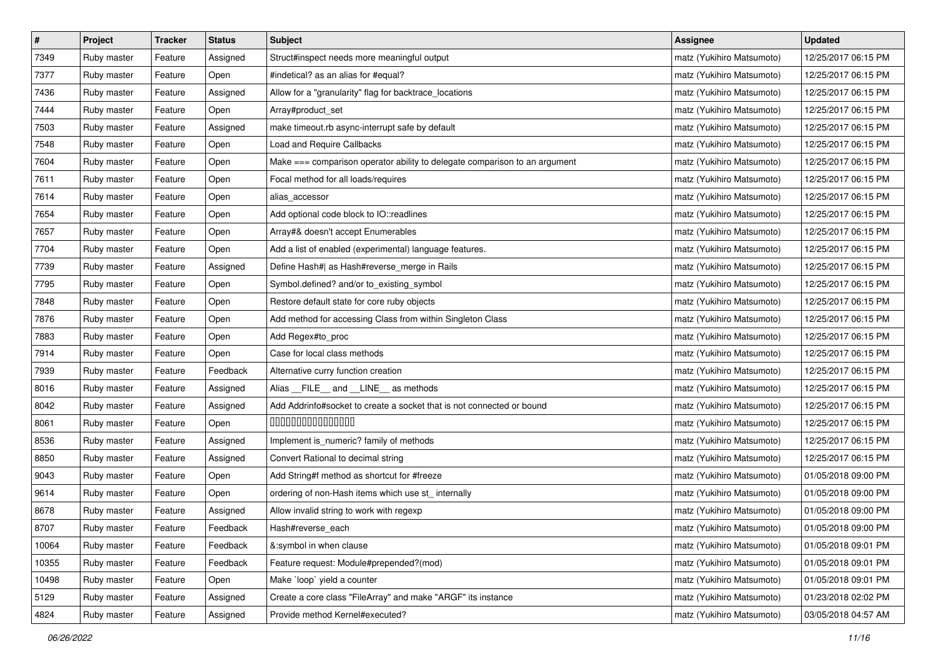| $\pmb{\#}$ | Project     | <b>Tracker</b> | <b>Status</b> | <b>Subject</b>                                                             | <b>Assignee</b>           | <b>Updated</b>      |
|------------|-------------|----------------|---------------|----------------------------------------------------------------------------|---------------------------|---------------------|
| 7349       | Ruby master | Feature        | Assigned      | Struct#inspect needs more meaningful output                                | matz (Yukihiro Matsumoto) | 12/25/2017 06:15 PM |
| 7377       | Ruby master | Feature        | Open          | #indetical? as an alias for #equal?                                        | matz (Yukihiro Matsumoto) | 12/25/2017 06:15 PM |
| 7436       | Ruby master | Feature        | Assigned      | Allow for a "granularity" flag for backtrace_locations                     | matz (Yukihiro Matsumoto) | 12/25/2017 06:15 PM |
| 7444       | Ruby master | Feature        | Open          | Array#product_set                                                          | matz (Yukihiro Matsumoto) | 12/25/2017 06:15 PM |
| 7503       | Ruby master | Feature        | Assigned      | make timeout.rb async-interrupt safe by default                            | matz (Yukihiro Matsumoto) | 12/25/2017 06:15 PM |
| 7548       | Ruby master | Feature        | Open          | Load and Require Callbacks                                                 | matz (Yukihiro Matsumoto) | 12/25/2017 06:15 PM |
| 7604       | Ruby master | Feature        | Open          | Make === comparison operator ability to delegate comparison to an argument | matz (Yukihiro Matsumoto) | 12/25/2017 06:15 PM |
| 7611       | Ruby master | Feature        | Open          | Focal method for all loads/requires                                        | matz (Yukihiro Matsumoto) | 12/25/2017 06:15 PM |
| 7614       | Ruby master | Feature        | Open          | alias_accessor                                                             | matz (Yukihiro Matsumoto) | 12/25/2017 06:15 PM |
| 7654       | Ruby master | Feature        | Open          | Add optional code block to IO::readlines                                   | matz (Yukihiro Matsumoto) | 12/25/2017 06:15 PM |
| 7657       | Ruby master | Feature        | Open          | Array#& doesn't accept Enumerables                                         | matz (Yukihiro Matsumoto) | 12/25/2017 06:15 PM |
| 7704       | Ruby master | Feature        | Open          | Add a list of enabled (experimental) language features.                    | matz (Yukihiro Matsumoto) | 12/25/2017 06:15 PM |
| 7739       | Ruby master | Feature        | Assigned      | Define Hash#  as Hash#reverse_merge in Rails                               | matz (Yukihiro Matsumoto) | 12/25/2017 06:15 PM |
| 7795       | Ruby master | Feature        | Open          | Symbol.defined? and/or to_existing_symbol                                  | matz (Yukihiro Matsumoto) | 12/25/2017 06:15 PM |
| 7848       | Ruby master | Feature        | Open          | Restore default state for core ruby objects                                | matz (Yukihiro Matsumoto) | 12/25/2017 06:15 PM |
| 7876       | Ruby master | Feature        | Open          | Add method for accessing Class from within Singleton Class                 | matz (Yukihiro Matsumoto) | 12/25/2017 06:15 PM |
| 7883       | Ruby master | Feature        | Open          | Add Regex#to_proc                                                          | matz (Yukihiro Matsumoto) | 12/25/2017 06:15 PM |
| 7914       | Ruby master | Feature        | Open          | Case for local class methods                                               | matz (Yukihiro Matsumoto) | 12/25/2017 06:15 PM |
| 7939       | Ruby master | Feature        | Feedback      | Alternative curry function creation                                        | matz (Yukihiro Matsumoto) | 12/25/2017 06:15 PM |
| 8016       | Ruby master | Feature        | Assigned      | Alias FILE and LINE as methods                                             | matz (Yukihiro Matsumoto) | 12/25/2017 06:15 PM |
| 8042       | Ruby master | Feature        | Assigned      | Add Addrinfo#socket to create a socket that is not connected or bound      | matz (Yukihiro Matsumoto) | 12/25/2017 06:15 PM |
| 8061       | Ruby master | Feature        | Open          | 000000000000000                                                            | matz (Yukihiro Matsumoto) | 12/25/2017 06:15 PM |
| 8536       | Ruby master | Feature        | Assigned      | Implement is_numeric? family of methods                                    | matz (Yukihiro Matsumoto) | 12/25/2017 06:15 PM |
| 8850       | Ruby master | Feature        | Assigned      | Convert Rational to decimal string                                         | matz (Yukihiro Matsumoto) | 12/25/2017 06:15 PM |
| 9043       | Ruby master | Feature        | Open          | Add String#f method as shortcut for #freeze                                | matz (Yukihiro Matsumoto) | 01/05/2018 09:00 PM |
| 9614       | Ruby master | Feature        | Open          | ordering of non-Hash items which use st_internally                         | matz (Yukihiro Matsumoto) | 01/05/2018 09:00 PM |
| 8678       | Ruby master | Feature        | Assigned      | Allow invalid string to work with regexp                                   | matz (Yukihiro Matsumoto) | 01/05/2018 09:00 PM |
| 8707       | Ruby master | Feature        | Feedback      | Hash#reverse_each                                                          | matz (Yukihiro Matsumoto) | 01/05/2018 09:00 PM |
| 10064      | Ruby master | Feature        | Feedback      | &:symbol in when clause                                                    | matz (Yukihiro Matsumoto) | 01/05/2018 09:01 PM |
| 10355      | Ruby master | Feature        | Feedback      | Feature request: Module#prepended?(mod)                                    | matz (Yukihiro Matsumoto) | 01/05/2018 09:01 PM |
| 10498      | Ruby master | Feature        | Open          | Make `loop` yield a counter                                                | matz (Yukihiro Matsumoto) | 01/05/2018 09:01 PM |
| 5129       | Ruby master | Feature        | Assigned      | Create a core class "FileArray" and make "ARGF" its instance               | matz (Yukihiro Matsumoto) | 01/23/2018 02:02 PM |
| 4824       | Ruby master | Feature        | Assigned      | Provide method Kernel#executed?                                            | matz (Yukihiro Matsumoto) | 03/05/2018 04:57 AM |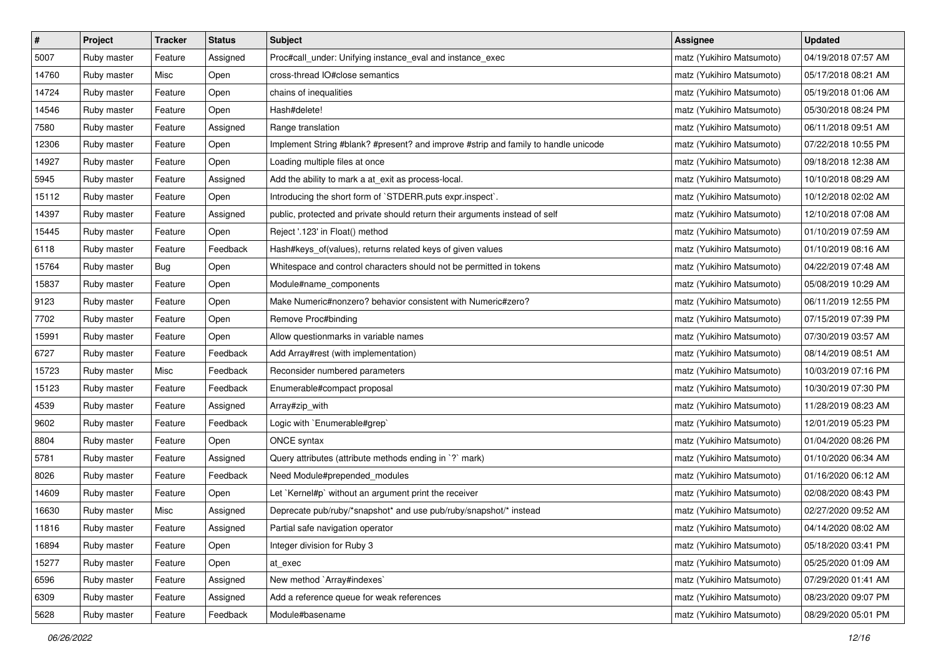| $\pmb{\#}$ | Project     | <b>Tracker</b> | <b>Status</b> | <b>Subject</b>                                                                     | <b>Assignee</b>           | <b>Updated</b>      |
|------------|-------------|----------------|---------------|------------------------------------------------------------------------------------|---------------------------|---------------------|
| 5007       | Ruby master | Feature        | Assigned      | Proc#call_under: Unifying instance_eval and instance_exec                          | matz (Yukihiro Matsumoto) | 04/19/2018 07:57 AM |
| 14760      | Ruby master | Misc           | Open          | cross-thread IO#close semantics                                                    | matz (Yukihiro Matsumoto) | 05/17/2018 08:21 AM |
| 14724      | Ruby master | Feature        | Open          | chains of inequalities                                                             | matz (Yukihiro Matsumoto) | 05/19/2018 01:06 AM |
| 14546      | Ruby master | Feature        | Open          | Hash#delete!                                                                       | matz (Yukihiro Matsumoto) | 05/30/2018 08:24 PM |
| 7580       | Ruby master | Feature        | Assigned      | Range translation                                                                  | matz (Yukihiro Matsumoto) | 06/11/2018 09:51 AM |
| 12306      | Ruby master | Feature        | Open          | Implement String #blank? #present? and improve #strip and family to handle unicode | matz (Yukihiro Matsumoto) | 07/22/2018 10:55 PM |
| 14927      | Ruby master | Feature        | Open          | Loading multiple files at once                                                     | matz (Yukihiro Matsumoto) | 09/18/2018 12:38 AM |
| 5945       | Ruby master | Feature        | Assigned      | Add the ability to mark a at_exit as process-local.                                | matz (Yukihiro Matsumoto) | 10/10/2018 08:29 AM |
| 15112      | Ruby master | Feature        | Open          | Introducing the short form of `STDERR.puts expr.inspect`.                          | matz (Yukihiro Matsumoto) | 10/12/2018 02:02 AM |
| 14397      | Ruby master | Feature        | Assigned      | public, protected and private should return their arguments instead of self        | matz (Yukihiro Matsumoto) | 12/10/2018 07:08 AM |
| 15445      | Ruby master | Feature        | Open          | Reject '.123' in Float() method                                                    | matz (Yukihiro Matsumoto) | 01/10/2019 07:59 AM |
| 6118       | Ruby master | Feature        | Feedback      | Hash#keys_of(values), returns related keys of given values                         | matz (Yukihiro Matsumoto) | 01/10/2019 08:16 AM |
| 15764      | Ruby master | Bug            | Open          | Whitespace and control characters should not be permitted in tokens                | matz (Yukihiro Matsumoto) | 04/22/2019 07:48 AM |
| 15837      | Ruby master | Feature        | Open          | Module#name_components                                                             | matz (Yukihiro Matsumoto) | 05/08/2019 10:29 AM |
| 9123       | Ruby master | Feature        | Open          | Make Numeric#nonzero? behavior consistent with Numeric#zero?                       | matz (Yukihiro Matsumoto) | 06/11/2019 12:55 PM |
| 7702       | Ruby master | Feature        | Open          | Remove Proc#binding                                                                | matz (Yukihiro Matsumoto) | 07/15/2019 07:39 PM |
| 15991      | Ruby master | Feature        | Open          | Allow questionmarks in variable names                                              | matz (Yukihiro Matsumoto) | 07/30/2019 03:57 AM |
| 6727       | Ruby master | Feature        | Feedback      | Add Array#rest (with implementation)                                               | matz (Yukihiro Matsumoto) | 08/14/2019 08:51 AM |
| 15723      | Ruby master | Misc           | Feedback      | Reconsider numbered parameters                                                     | matz (Yukihiro Matsumoto) | 10/03/2019 07:16 PM |
| 15123      | Ruby master | Feature        | Feedback      | Enumerable#compact proposal                                                        | matz (Yukihiro Matsumoto) | 10/30/2019 07:30 PM |
| 4539       | Ruby master | Feature        | Assigned      | Array#zip_with                                                                     | matz (Yukihiro Matsumoto) | 11/28/2019 08:23 AM |
| 9602       | Ruby master | Feature        | Feedback      | Logic with `Enumerable#grep`                                                       | matz (Yukihiro Matsumoto) | 12/01/2019 05:23 PM |
| 8804       | Ruby master | Feature        | Open          | ONCE syntax                                                                        | matz (Yukihiro Matsumoto) | 01/04/2020 08:26 PM |
| 5781       | Ruby master | Feature        | Assigned      | Query attributes (attribute methods ending in `?` mark)                            | matz (Yukihiro Matsumoto) | 01/10/2020 06:34 AM |
| 8026       | Ruby master | Feature        | Feedback      | Need Module#prepended_modules                                                      | matz (Yukihiro Matsumoto) | 01/16/2020 06:12 AM |
| 14609      | Ruby master | Feature        | Open          | Let `Kernel#p` without an argument print the receiver                              | matz (Yukihiro Matsumoto) | 02/08/2020 08:43 PM |
| 16630      | Ruby master | Misc           | Assigned      | Deprecate pub/ruby/*snapshot* and use pub/ruby/snapshot/* instead                  | matz (Yukihiro Matsumoto) | 02/27/2020 09:52 AM |
| 11816      | Ruby master | Feature        | Assigned      | Partial safe navigation operator                                                   | matz (Yukihiro Matsumoto) | 04/14/2020 08:02 AM |
| 16894      | Ruby master | Feature        | Open          | Integer division for Ruby 3                                                        | matz (Yukihiro Matsumoto) | 05/18/2020 03:41 PM |
| 15277      | Ruby master | Feature        | Open          | at exec                                                                            | matz (Yukihiro Matsumoto) | 05/25/2020 01:09 AM |
| 6596       | Ruby master | Feature        | Assigned      | New method `Array#indexes`                                                         | matz (Yukihiro Matsumoto) | 07/29/2020 01:41 AM |
| 6309       | Ruby master | Feature        | Assigned      | Add a reference queue for weak references                                          | matz (Yukihiro Matsumoto) | 08/23/2020 09:07 PM |
| 5628       | Ruby master | Feature        | Feedback      | Module#basename                                                                    | matz (Yukihiro Matsumoto) | 08/29/2020 05:01 PM |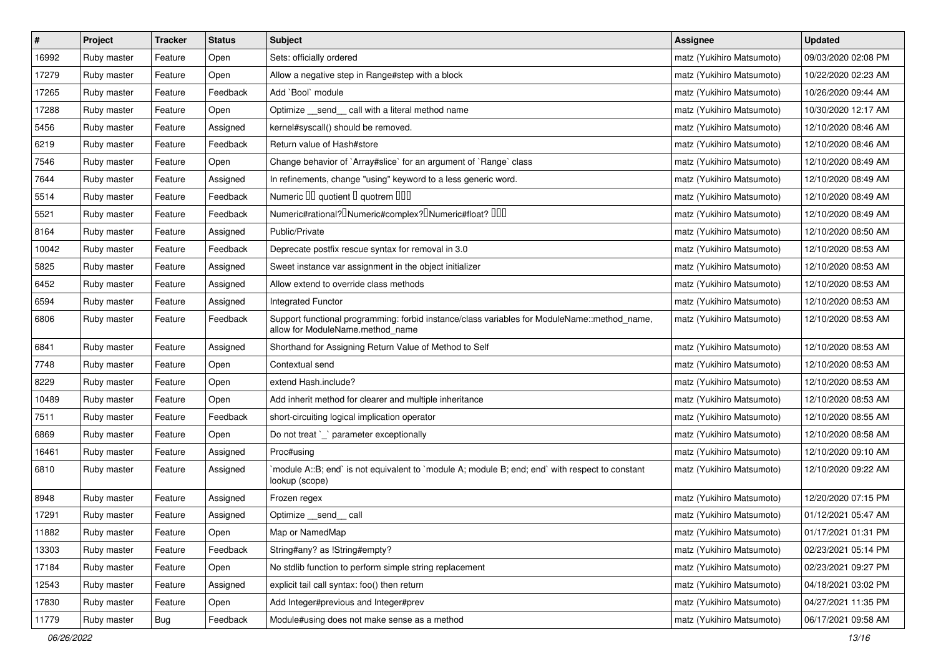| $\sharp$ | Project     | <b>Tracker</b> | <b>Status</b> | <b>Subject</b>                                                                                                                   | <b>Assignee</b>           | <b>Updated</b>      |
|----------|-------------|----------------|---------------|----------------------------------------------------------------------------------------------------------------------------------|---------------------------|---------------------|
| 16992    | Ruby master | Feature        | Open          | Sets: officially ordered                                                                                                         | matz (Yukihiro Matsumoto) | 09/03/2020 02:08 PM |
| 17279    | Ruby master | Feature        | Open          | Allow a negative step in Range#step with a block                                                                                 | matz (Yukihiro Matsumoto) | 10/22/2020 02:23 AM |
| 17265    | Ruby master | Feature        | Feedback      | Add `Bool` module                                                                                                                | matz (Yukihiro Matsumoto) | 10/26/2020 09:44 AM |
| 17288    | Ruby master | Feature        | Open          | Optimize _send_ call with a literal method name                                                                                  | matz (Yukihiro Matsumoto) | 10/30/2020 12:17 AM |
| 5456     | Ruby master | Feature        | Assigned      | kernel#syscall() should be removed.                                                                                              | matz (Yukihiro Matsumoto) | 12/10/2020 08:46 AM |
| 6219     | Ruby master | Feature        | Feedback      | Return value of Hash#store                                                                                                       | matz (Yukihiro Matsumoto) | 12/10/2020 08:46 AM |
| 7546     | Ruby master | Feature        | Open          | Change behavior of `Array#slice` for an argument of `Range` class                                                                | matz (Yukihiro Matsumoto) | 12/10/2020 08:49 AM |
| 7644     | Ruby master | Feature        | Assigned      | In refinements, change "using" keyword to a less generic word.                                                                   | matz (Yukihiro Matsumoto) | 12/10/2020 08:49 AM |
| 5514     | Ruby master | Feature        | Feedback      | Numeric III quotient II quotrem IIII                                                                                             | matz (Yukihiro Matsumoto) | 12/10/2020 08:49 AM |
| 5521     | Ruby master | Feature        | Feedback      | Numeric#rational? <sup>[]</sup> Numeric#complex? <sup>[]</sup> Numeric#float? <sup>[10]</sup>                                    | matz (Yukihiro Matsumoto) | 12/10/2020 08:49 AM |
| 8164     | Ruby master | Feature        | Assigned      | Public/Private                                                                                                                   | matz (Yukihiro Matsumoto) | 12/10/2020 08:50 AM |
| 10042    | Ruby master | Feature        | Feedback      | Deprecate postfix rescue syntax for removal in 3.0                                                                               | matz (Yukihiro Matsumoto) | 12/10/2020 08:53 AM |
| 5825     | Ruby master | Feature        | Assigned      | Sweet instance var assignment in the object initializer                                                                          | matz (Yukihiro Matsumoto) | 12/10/2020 08:53 AM |
| 6452     | Ruby master | Feature        | Assigned      | Allow extend to override class methods                                                                                           | matz (Yukihiro Matsumoto) | 12/10/2020 08:53 AM |
| 6594     | Ruby master | Feature        | Assigned      | Integrated Functor                                                                                                               | matz (Yukihiro Matsumoto) | 12/10/2020 08:53 AM |
| 6806     | Ruby master | Feature        | Feedback      | Support functional programming: forbid instance/class variables for ModuleName::method_name,<br>allow for ModuleName.method name | matz (Yukihiro Matsumoto) | 12/10/2020 08:53 AM |
| 6841     | Ruby master | Feature        | Assigned      | Shorthand for Assigning Return Value of Method to Self                                                                           | matz (Yukihiro Matsumoto) | 12/10/2020 08:53 AM |
| 7748     | Ruby master | Feature        | Open          | Contextual send                                                                                                                  | matz (Yukihiro Matsumoto) | 12/10/2020 08:53 AM |
| 8229     | Ruby master | Feature        | Open          | extend Hash.include?                                                                                                             | matz (Yukihiro Matsumoto) | 12/10/2020 08:53 AM |
| 10489    | Ruby master | Feature        | Open          | Add inherit method for clearer and multiple inheritance                                                                          | matz (Yukihiro Matsumoto) | 12/10/2020 08:53 AM |
| 7511     | Ruby master | Feature        | Feedback      | short-circuiting logical implication operator                                                                                    | matz (Yukihiro Matsumoto) | 12/10/2020 08:55 AM |
| 6869     | Ruby master | Feature        | Open          | Do not treat `_` parameter exceptionally                                                                                         | matz (Yukihiro Matsumoto) | 12/10/2020 08:58 AM |
| 16461    | Ruby master | Feature        | Assigned      | Proc#using                                                                                                                       | matz (Yukihiro Matsumoto) | 12/10/2020 09:10 AM |
| 6810     | Ruby master | Feature        | Assigned      | module A::B; end` is not equivalent to `module A; module B; end; end` with respect to constant<br>lookup (scope)                 | matz (Yukihiro Matsumoto) | 12/10/2020 09:22 AM |
| 8948     | Ruby master | Feature        | Assigned      | Frozen regex                                                                                                                     | matz (Yukihiro Matsumoto) | 12/20/2020 07:15 PM |
| 17291    | Ruby master | Feature        | Assigned      | Optimize __send__ call                                                                                                           | matz (Yukihiro Matsumoto) | 01/12/2021 05:47 AM |
| 11882    | Ruby master | Feature        | Open          | Map or NamedMap                                                                                                                  | matz (Yukihiro Matsumoto) | 01/17/2021 01:31 PM |
| 13303    | Ruby master | Feature        | Feedback      | String#any? as !String#empty?                                                                                                    | matz (Yukihiro Matsumoto) | 02/23/2021 05:14 PM |
| 17184    | Ruby master | Feature        | Open          | No stdlib function to perform simple string replacement                                                                          | matz (Yukihiro Matsumoto) | 02/23/2021 09:27 PM |
| 12543    | Ruby master | Feature        | Assigned      | explicit tail call syntax: foo() then return                                                                                     | matz (Yukihiro Matsumoto) | 04/18/2021 03:02 PM |
| 17830    | Ruby master | Feature        | Open          | Add Integer#previous and Integer#prev                                                                                            | matz (Yukihiro Matsumoto) | 04/27/2021 11:35 PM |
| 11779    | Ruby master | Bug            | Feedback      | Module#using does not make sense as a method                                                                                     | matz (Yukihiro Matsumoto) | 06/17/2021 09:58 AM |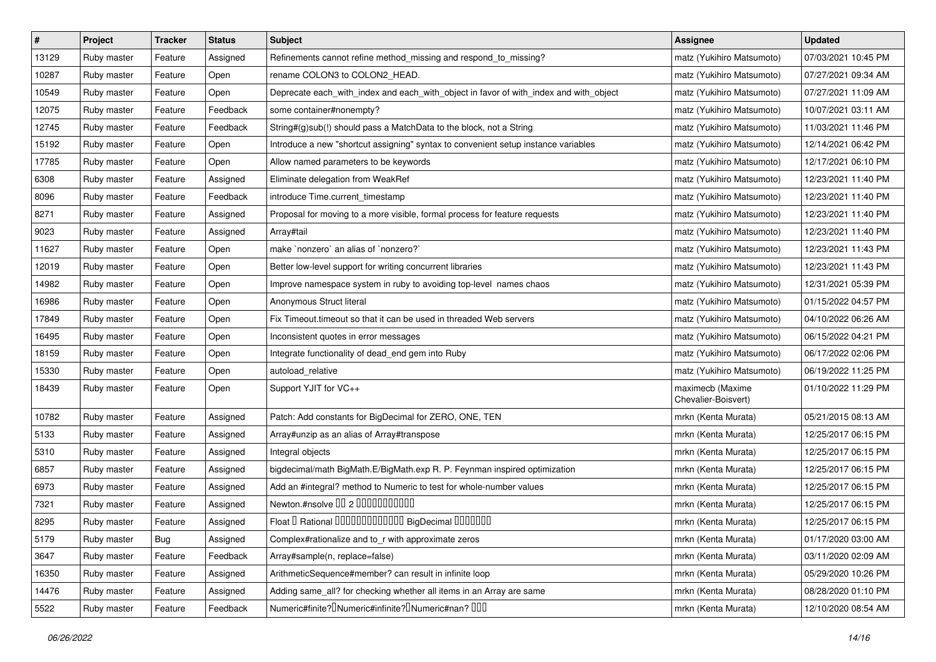| #     | Project     | <b>Tracker</b> | <b>Status</b> | Subject                                                                                    | <b>Assignee</b>                         | <b>Updated</b>      |
|-------|-------------|----------------|---------------|--------------------------------------------------------------------------------------------|-----------------------------------------|---------------------|
| 13129 | Ruby master | Feature        | Assigned      | Refinements cannot refine method_missing and respond_to_missing?                           | matz (Yukihiro Matsumoto)               | 07/03/2021 10:45 PM |
| 10287 | Ruby master | Feature        | Open          | rename COLON3 to COLON2_HEAD.                                                              | matz (Yukihiro Matsumoto)               | 07/27/2021 09:34 AM |
| 10549 | Ruby master | Feature        | Open          | Deprecate each_with_index and each_with_object in favor of with_index and with_object      | matz (Yukihiro Matsumoto)               | 07/27/2021 11:09 AM |
| 12075 | Ruby master | Feature        | Feedback      | some container#nonempty?                                                                   | matz (Yukihiro Matsumoto)               | 10/07/2021 03:11 AM |
| 12745 | Ruby master | Feature        | Feedback      | String#(g)sub(!) should pass a MatchData to the block, not a String                        | matz (Yukihiro Matsumoto)               | 11/03/2021 11:46 PM |
| 15192 | Ruby master | Feature        | Open          | Introduce a new "shortcut assigning" syntax to convenient setup instance variables         | matz (Yukihiro Matsumoto)               | 12/14/2021 06:42 PM |
| 17785 | Ruby master | Feature        | Open          | Allow named parameters to be keywords                                                      | matz (Yukihiro Matsumoto)               | 12/17/2021 06:10 PM |
| 6308  | Ruby master | Feature        | Assigned      | Eliminate delegation from WeakRef                                                          | matz (Yukihiro Matsumoto)               | 12/23/2021 11:40 PM |
| 8096  | Ruby master | Feature        | Feedback      | introduce Time.current timestamp                                                           | matz (Yukihiro Matsumoto)               | 12/23/2021 11:40 PM |
| 8271  | Ruby master | Feature        | Assigned      | Proposal for moving to a more visible, formal process for feature requests                 | matz (Yukihiro Matsumoto)               | 12/23/2021 11:40 PM |
| 9023  | Ruby master | Feature        | Assigned      | Array#tail                                                                                 | matz (Yukihiro Matsumoto)               | 12/23/2021 11:40 PM |
| 11627 | Ruby master | Feature        | Open          | make `nonzero` an alias of `nonzero?`                                                      | matz (Yukihiro Matsumoto)               | 12/23/2021 11:43 PM |
| 12019 | Ruby master | Feature        | Open          | Better low-level support for writing concurrent libraries                                  | matz (Yukihiro Matsumoto)               | 12/23/2021 11:43 PM |
| 14982 | Ruby master | Feature        | Open          | Improve namespace system in ruby to avoiding top-level names chaos                         | matz (Yukihiro Matsumoto)               | 12/31/2021 05:39 PM |
| 16986 | Ruby master | Feature        | Open          | Anonymous Struct literal                                                                   | matz (Yukihiro Matsumoto)               | 01/15/2022 04:57 PM |
| 17849 | Ruby master | Feature        | Open          | Fix Timeout.timeout so that it can be used in threaded Web servers                         | matz (Yukihiro Matsumoto)               | 04/10/2022 06:26 AM |
| 16495 | Ruby master | Feature        | Open          | Inconsistent quotes in error messages                                                      | matz (Yukihiro Matsumoto)               | 06/15/2022 04:21 PM |
| 18159 | Ruby master | Feature        | Open          | Integrate functionality of dead_end gem into Ruby                                          | matz (Yukihiro Matsumoto)               | 06/17/2022 02:06 PM |
| 15330 | Ruby master | Feature        | Open          | autoload relative                                                                          | matz (Yukihiro Matsumoto)               | 06/19/2022 11:25 PM |
| 18439 | Ruby master | Feature        | Open          | Support YJIT for VC++                                                                      | maximecb (Maxime<br>Chevalier-Boisvert) | 01/10/2022 11:29 PM |
| 10782 | Ruby master | Feature        | Assigned      | Patch: Add constants for BigDecimal for ZERO, ONE, TEN                                     | mrkn (Kenta Murata)                     | 05/21/2015 08:13 AM |
| 5133  | Ruby master | Feature        | Assigned      | Array#unzip as an alias of Array#transpose                                                 | mrkn (Kenta Murata)                     | 12/25/2017 06:15 PM |
| 5310  | Ruby master | Feature        | Assigned      | Integral objects                                                                           | mrkn (Kenta Murata)                     | 12/25/2017 06:15 PM |
| 6857  | Ruby master | Feature        | Assigned      | bigdecimal/math BigMath.E/BigMath.exp R. P. Feynman inspired optimization                  | mrkn (Kenta Murata)                     | 12/25/2017 06:15 PM |
| 6973  | Ruby master | Feature        | Assigned      | Add an #integral? method to Numeric to test for whole-number values                        | mrkn (Kenta Murata)                     | 12/25/2017 06:15 PM |
| 7321  | Ruby master | Feature        | Assigned      | Newton.#nsolve 00 2 0000000000                                                             | mrkn (Kenta Murata)                     | 12/25/2017 06:15 PM |
| 8295  | Ruby master | Feature        | Assigned      | Float I Rational 0000000000000 BigDecimal 0000000                                          | mrkn (Kenta Murata)                     | 12/25/2017 06:15 PM |
| 5179  | Ruby master | <b>Bug</b>     | Assigned      | Complex#rationalize and to_r with approximate zeros                                        | mrkn (Kenta Murata)                     | 01/17/2020 03:00 AM |
| 3647  | Ruby master | Feature        | Feedback      | Array#sample(n, replace=false)                                                             | mrkn (Kenta Murata)                     | 03/11/2020 02:09 AM |
| 16350 | Ruby master | Feature        | Assigned      | ArithmeticSequence#member? can result in infinite loop                                     | mrkn (Kenta Murata)                     | 05/29/2020 10:26 PM |
| 14476 | Ruby master | Feature        | Assigned      | Adding same_all? for checking whether all items in an Array are same                       | mrkn (Kenta Murata)                     | 08/28/2020 01:10 PM |
| 5522  | Ruby master | Feature        | Feedback      | Numeric#finite? <sup>[]</sup> Numeric#infinite? <sup>[]</sup> Numeric#nan? <sup>[10]</sup> | mrkn (Kenta Murata)                     | 12/10/2020 08:54 AM |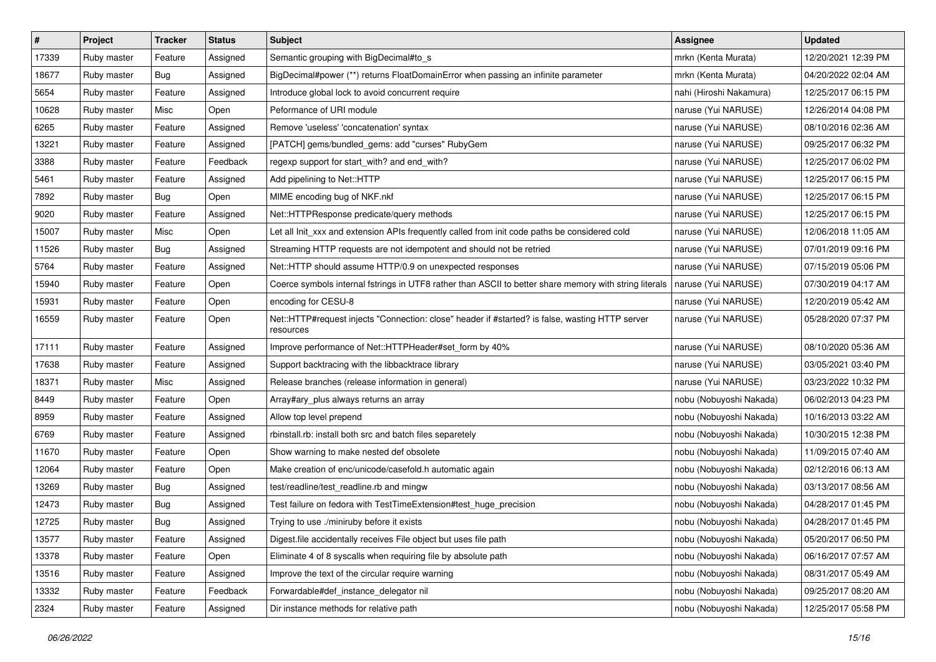| $\pmb{\#}$ | Project     | <b>Tracker</b> | <b>Status</b> | Subject                                                                                                      | <b>Assignee</b>         | <b>Updated</b>      |
|------------|-------------|----------------|---------------|--------------------------------------------------------------------------------------------------------------|-------------------------|---------------------|
| 17339      | Ruby master | Feature        | Assigned      | Semantic grouping with BigDecimal#to_s                                                                       | mrkn (Kenta Murata)     | 12/20/2021 12:39 PM |
| 18677      | Ruby master | Bug            | Assigned      | BigDecimal#power (**) returns FloatDomainError when passing an infinite parameter                            | mrkn (Kenta Murata)     | 04/20/2022 02:04 AM |
| 5654       | Ruby master | Feature        | Assigned      | Introduce global lock to avoid concurrent require                                                            | nahi (Hiroshi Nakamura) | 12/25/2017 06:15 PM |
| 10628      | Ruby master | Misc           | Open          | Peformance of URI module                                                                                     | naruse (Yui NARUSE)     | 12/26/2014 04:08 PM |
| 6265       | Ruby master | Feature        | Assigned      | Remove 'useless' 'concatenation' syntax                                                                      | naruse (Yui NARUSE)     | 08/10/2016 02:36 AM |
| 13221      | Ruby master | Feature        | Assigned      | [PATCH] gems/bundled_gems: add "curses" RubyGem                                                              | naruse (Yui NARUSE)     | 09/25/2017 06:32 PM |
| 3388       | Ruby master | Feature        | Feedback      | regexp support for start_with? and end_with?                                                                 | naruse (Yui NARUSE)     | 12/25/2017 06:02 PM |
| 5461       | Ruby master | Feature        | Assigned      | Add pipelining to Net::HTTP                                                                                  | naruse (Yui NARUSE)     | 12/25/2017 06:15 PM |
| 7892       | Ruby master | <b>Bug</b>     | Open          | MIME encoding bug of NKF.nkf                                                                                 | naruse (Yui NARUSE)     | 12/25/2017 06:15 PM |
| 9020       | Ruby master | Feature        | Assigned      | Net::HTTPResponse predicate/query methods                                                                    | naruse (Yui NARUSE)     | 12/25/2017 06:15 PM |
| 15007      | Ruby master | Misc           | Open          | Let all Init_xxx and extension APIs frequently called from init code paths be considered cold                | naruse (Yui NARUSE)     | 12/06/2018 11:05 AM |
| 11526      | Ruby master | Bug            | Assigned      | Streaming HTTP requests are not idempotent and should not be retried                                         | naruse (Yui NARUSE)     | 07/01/2019 09:16 PM |
| 5764       | Ruby master | Feature        | Assigned      | Net::HTTP should assume HTTP/0.9 on unexpected responses                                                     | naruse (Yui NARUSE)     | 07/15/2019 05:06 PM |
| 15940      | Ruby master | Feature        | Open          | Coerce symbols internal fstrings in UTF8 rather than ASCII to better share memory with string literals       | naruse (Yui NARUSE)     | 07/30/2019 04:17 AM |
| 15931      | Ruby master | Feature        | Open          | encoding for CESU-8                                                                                          | naruse (Yui NARUSE)     | 12/20/2019 05:42 AM |
| 16559      | Ruby master | Feature        | Open          | Net::HTTP#request injects "Connection: close" header if #started? is false, wasting HTTP server<br>resources | naruse (Yui NARUSE)     | 05/28/2020 07:37 PM |
| 17111      | Ruby master | Feature        | Assigned      | Improve performance of Net::HTTPHeader#set_form by 40%                                                       | naruse (Yui NARUSE)     | 08/10/2020 05:36 AM |
| 17638      | Ruby master | Feature        | Assigned      | Support backtracing with the libbacktrace library                                                            | naruse (Yui NARUSE)     | 03/05/2021 03:40 PM |
| 18371      | Ruby master | Misc           | Assigned      | Release branches (release information in general)                                                            | naruse (Yui NARUSE)     | 03/23/2022 10:32 PM |
| 8449       | Ruby master | Feature        | Open          | Array#ary_plus always returns an array                                                                       | nobu (Nobuyoshi Nakada) | 06/02/2013 04:23 PM |
| 8959       | Ruby master | Feature        | Assigned      | Allow top level prepend                                                                                      | nobu (Nobuyoshi Nakada) | 10/16/2013 03:22 AM |
| 6769       | Ruby master | Feature        | Assigned      | rbinstall.rb: install both src and batch files separetely                                                    | nobu (Nobuyoshi Nakada) | 10/30/2015 12:38 PM |
| 11670      | Ruby master | Feature        | Open          | Show warning to make nested def obsolete                                                                     | nobu (Nobuyoshi Nakada) | 11/09/2015 07:40 AM |
| 12064      | Ruby master | Feature        | Open          | Make creation of enc/unicode/casefold.h automatic again                                                      | nobu (Nobuyoshi Nakada) | 02/12/2016 06:13 AM |
| 13269      | Ruby master | Bug            | Assigned      | test/readline/test_readline.rb and mingw                                                                     | nobu (Nobuyoshi Nakada) | 03/13/2017 08:56 AM |
| 12473      | Ruby master | <b>Bug</b>     | Assigned      | Test failure on fedora with TestTimeExtension#test_huge_precision                                            | nobu (Nobuyoshi Nakada) | 04/28/2017 01:45 PM |
| 12725      | Ruby master | <b>Bug</b>     | Assigned      | Trying to use ./miniruby before it exists                                                                    | nobu (Nobuyoshi Nakada) | 04/28/2017 01:45 PM |
| 13577      | Ruby master | Feature        | Assigned      | Digest file accidentally receives File object but uses file path                                             | nobu (Nobuyoshi Nakada) | 05/20/2017 06:50 PM |
| 13378      | Ruby master | Feature        | Open          | Eliminate 4 of 8 syscalls when requiring file by absolute path                                               | nobu (Nobuyoshi Nakada) | 06/16/2017 07:57 AM |
| 13516      | Ruby master | Feature        | Assigned      | Improve the text of the circular require warning                                                             | nobu (Nobuyoshi Nakada) | 08/31/2017 05:49 AM |
| 13332      | Ruby master | Feature        | Feedback      | Forwardable#def_instance_delegator nil                                                                       | nobu (Nobuyoshi Nakada) | 09/25/2017 08:20 AM |
| 2324       | Ruby master | Feature        | Assigned      | Dir instance methods for relative path                                                                       | nobu (Nobuyoshi Nakada) | 12/25/2017 05:58 PM |